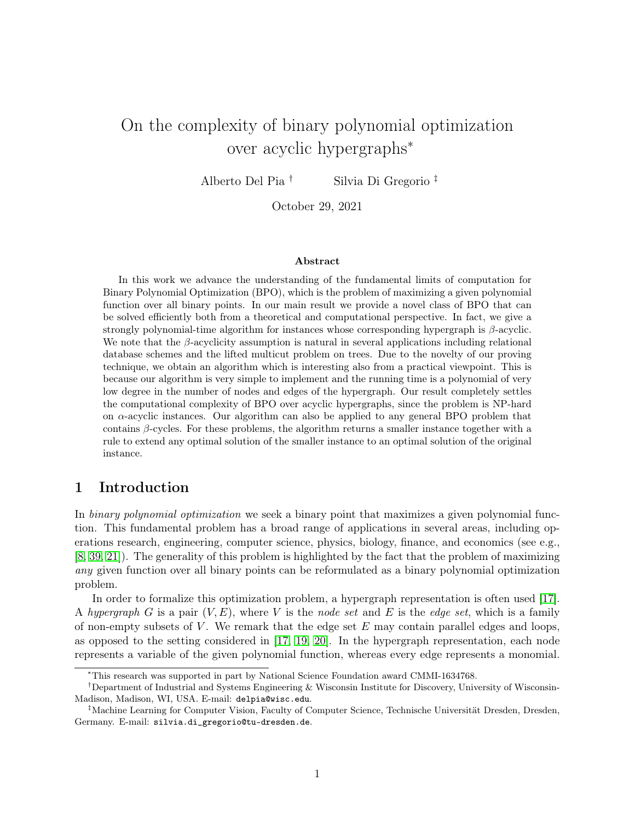## On the complexity of binary polynomial optimization over acyclic hypergraphs<sup>∗</sup>

Alberto Del Pia † Silvia Di Gregorio ‡

October 29, 2021

#### Abstract

In this work we advance the understanding of the fundamental limits of computation for Binary Polynomial Optimization (BPO), which is the problem of maximizing a given polynomial function over all binary points. In our main result we provide a novel class of BPO that can be solved efficiently both from a theoretical and computational perspective. In fact, we give a strongly polynomial-time algorithm for instances whose corresponding hypergraph is  $\beta$ -acyclic. We note that the  $\beta$ -acyclicity assumption is natural in several applications including relational database schemes and the lifted multicut problem on trees. Due to the novelty of our proving technique, we obtain an algorithm which is interesting also from a practical viewpoint. This is because our algorithm is very simple to implement and the running time is a polynomial of very low degree in the number of nodes and edges of the hypergraph. Our result completely settles the computational complexity of BPO over acyclic hypergraphs, since the problem is NP-hard on  $\alpha$ -acyclic instances. Our algorithm can also be applied to any general BPO problem that contains  $\beta$ -cycles. For these problems, the algorithm returns a smaller instance together with a rule to extend any optimal solution of the smaller instance to an optimal solution of the original instance.

## 1 Introduction

In binary polynomial optimization we seek a binary point that maximizes a given polynomial function. This fundamental problem has a broad range of applications in several areas, including operations research, engineering, computer science, physics, biology, finance, and economics (see e.g., [\[8,](#page-14-0) [39,](#page-15-0) [21\]](#page-14-1)). The generality of this problem is highlighted by the fact that the problem of maximizing any given function over all binary points can be reformulated as a binary polynomial optimization problem.

In order to formalize this optimization problem, a hypergraph representation is often used [\[17\]](#page-14-2). A hypergraph G is a pair  $(V, E)$ , where V is the node set and E is the edge set, which is a family of non-empty subsets of  $V$ . We remark that the edge set  $E$  may contain parallel edges and loops, as opposed to the setting considered in [\[17,](#page-14-2) [19,](#page-14-3) [20\]](#page-14-4). In the hypergraph representation, each node represents a variable of the given polynomial function, whereas every edge represents a monomial.

<sup>∗</sup>This research was supported in part by National Science Foundation award CMMI-1634768.

<sup>†</sup>Department of Industrial and Systems Engineering & Wisconsin Institute for Discovery, University of Wisconsin-Madison, Madison, WI, USA. E-mail: delpia@wisc.edu.

<sup>‡</sup>Machine Learning for Computer Vision, Faculty of Computer Science, Technische Universität Dresden, Dresden, Germany. E-mail: silvia.di\_gregorio@tu-dresden.de.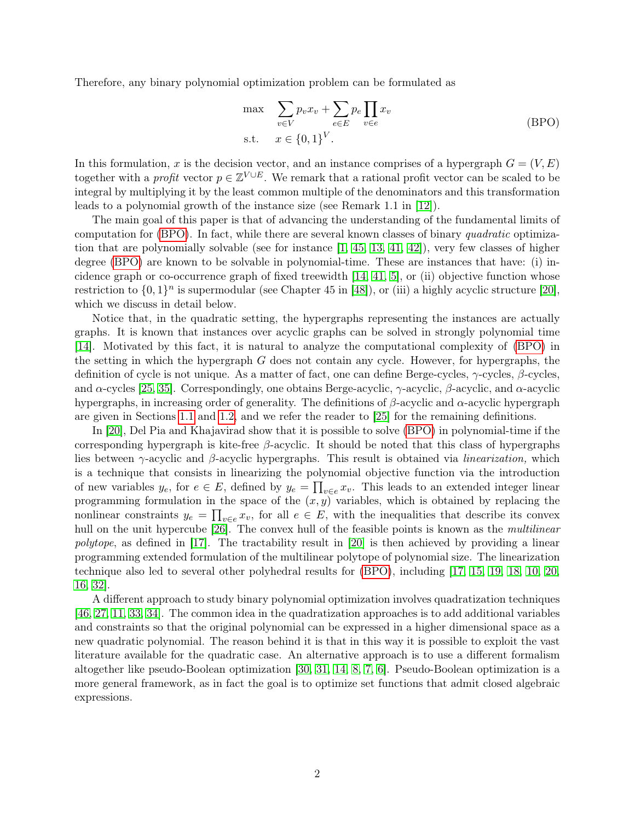Therefore, any binary polynomial optimization problem can be formulated as

<span id="page-1-0"></span>
$$
\max_{v \in V} \sum_{v \in V} p_v x_v + \sum_{e \in E} p_e \prod_{v \in e} x_v
$$
\n
$$
\text{BPO} \tag{BPO}
$$
\n
$$
\text{s.t.} \quad x \in \{0, 1\}^V.
$$

In this formulation, x is the decision vector, and an instance comprises of a hypergraph  $G = (V, E)$ together with a *profit* vector  $p \in \mathbb{Z}^{V \cup E}$ . We remark that a rational profit vector can be scaled to be integral by multiplying it by the least common multiple of the denominators and this transformation leads to a polynomial growth of the instance size (see Remark 1.1 in [\[12\]](#page-14-5)).

The main goal of this paper is that of advancing the understanding of the fundamental limits of computation for [\(BPO\)](#page-1-0). In fact, while there are several known classes of binary quadratic optimization that are polynomially solvable (see for instance  $(1, 45, 13, 41, 42)$  $(1, 45, 13, 41, 42)$  $(1, 45, 13, 41, 42)$  $(1, 45, 13, 41, 42)$  $(1, 45, 13, 41, 42)$ ), very few classes of higher degree [\(BPO\)](#page-1-0) are known to be solvable in polynomial-time. These are instances that have: (i) incidence graph or co-occurrence graph of fixed treewidth  $[14, 41, 5]$  $[14, 41, 5]$  $[14, 41, 5]$ , or (ii) objective function whose restriction to  $\{0,1\}^n$  is supermodular (see Chapter 45 in [\[48\]](#page-16-2)), or (iii) a highly acyclic structure [\[20\]](#page-14-4), which we discuss in detail below.

Notice that, in the quadratic setting, the hypergraphs representing the instances are actually graphs. It is known that instances over acyclic graphs can be solved in strongly polynomial time [\[14\]](#page-14-7). Motivated by this fact, it is natural to analyze the computational complexity of [\(BPO\)](#page-1-0) in the setting in which the hypergraph  $G$  does not contain any cycle. However, for hypergraphs, the definition of cycle is not unique. As a matter of fact, one can define Berge-cycles, γ-cycles, β-cycles, and  $\alpha$ -cycles [\[25,](#page-14-8) [35\]](#page-15-2). Correspondingly, one obtains Berge-acyclic,  $\gamma$ -acyclic,  $\beta$ -acyclic, and  $\alpha$ -acyclic hypergraphs, in increasing order of generality. The definitions of  $\beta$ -acyclic and  $\alpha$ -acyclic hypergraph are given in Sections [1.1](#page-2-0) and [1.2,](#page-3-0) and we refer the reader to [\[25\]](#page-14-8) for the remaining definitions.

In [\[20\]](#page-14-4), Del Pia and Khajavirad show that it is possible to solve [\(BPO\)](#page-1-0) in polynomial-time if the corresponding hypergraph is kite-free  $\beta$ -acyclic. It should be noted that this class of hypergraphs lies between  $\gamma$ -acyclic and  $\beta$ -acyclic hypergraphs. This result is obtained via *linearization*, which is a technique that consists in linearizing the polynomial objective function via the introduction of new variables  $y_e$ , for  $e \in E$ , defined by  $y_e = \prod_{v \in e} x_v$ . This leads to an extended integer linear programming formulation in the space of the  $(x, y)$  variables, which is obtained by replacing the nonlinear constraints  $y_e = \prod_{v \in e} x_v$ , for all  $e \in E$ , with the inequalities that describe its convex hull on the unit hypercube [\[26\]](#page-15-3). The convex hull of the feasible points is known as the *multilinear* polytope, as defined in [\[17\]](#page-14-2). The tractability result in [\[20\]](#page-14-4) is then achieved by providing a linear programming extended formulation of the multilinear polytope of polynomial size. The linearization technique also led to several other polyhedral results for [\(BPO\)](#page-1-0), including [\[17,](#page-14-2) [15,](#page-14-9) [19,](#page-14-3) [18,](#page-14-10) [10,](#page-14-11) [20,](#page-14-4) [16,](#page-14-12) [32\]](#page-15-4).

A different approach to study binary polynomial optimization involves quadratization techniques [\[46,](#page-16-3) [27,](#page-15-5) [11,](#page-14-13) [33,](#page-15-6) [34\]](#page-15-7). The common idea in the quadratization approaches is to add additional variables and constraints so that the original polynomial can be expressed in a higher dimensional space as a new quadratic polynomial. The reason behind it is that in this way it is possible to exploit the vast literature available for the quadratic case. An alternative approach is to use a different formalism altogether like pseudo-Boolean optimization [\[30,](#page-15-8) [31,](#page-15-9) [14,](#page-14-7) [8,](#page-14-0) [7,](#page-13-2) [6\]](#page-13-3). Pseudo-Boolean optimization is a more general framework, as in fact the goal is to optimize set functions that admit closed algebraic expressions.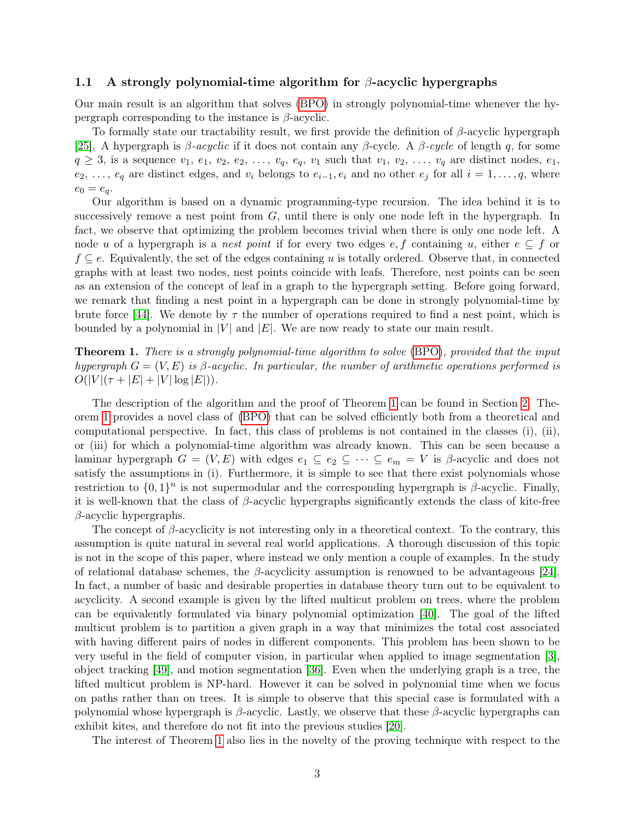#### <span id="page-2-0"></span>1.1 A strongly polynomial-time algorithm for  $\beta$ -acyclic hypergraphs

Our main result is an algorithm that solves [\(BPO\)](#page-1-0) in strongly polynomial-time whenever the hypergraph corresponding to the instance is  $\beta$ -acyclic.

To formally state our tractability result, we first provide the definition of  $\beta$ -acyclic hypergraph [\[25\]](#page-14-8). A hypergraph is  $\beta$ -acyclic if it does not contain any  $\beta$ -cycle. A  $\beta$ -cycle of length q, for some  $q \geq 3$ , is a sequence  $v_1, e_1, v_2, e_2, \ldots, v_q, e_q, v_1$  such that  $v_1, v_2, \ldots, v_q$  are distinct nodes,  $e_1$ ,  $e_2, \ldots, e_q$  are distinct edges, and  $v_i$  belongs to  $e_{i-1}, e_i$  and no other  $e_j$  for all  $i = 1, \ldots, q$ , where  $e_0 = e_q.$ 

Our algorithm is based on a dynamic programming-type recursion. The idea behind it is to successively remove a nest point from  $G$ , until there is only one node left in the hypergraph. In fact, we observe that optimizing the problem becomes trivial when there is only one node left. A node u of a hypergraph is a nest point if for every two edges  $e, f$  containing u, either  $e \subseteq f$  or  $f \subseteq e$ . Equivalently, the set of the edges containing u is totally ordered. Observe that, in connected graphs with at least two nodes, nest points coincide with leafs. Therefore, nest points can be seen as an extension of the concept of leaf in a graph to the hypergraph setting. Before going forward, we remark that finding a nest point in a hypergraph can be done in strongly polynomial-time by brute force [\[44\]](#page-16-4). We denote by  $\tau$  the number of operations required to find a nest point, which is bounded by a polynomial in  $|V|$  and  $|E|$ . We are now ready to state our main result.

<span id="page-2-1"></span>Theorem 1. There is a strongly polynomial-time algorithm to solve [\(BPO\)](#page-1-0), provided that the input hypergraph  $G = (V, E)$  is β-acyclic. In particular, the number of arithmetic operations performed is  $O(|V|(\tau + |E| + |V| \log |E|)).$ 

The description of the algorithm and the proof of Theorem [1](#page-2-1) can be found in Section [2.](#page-4-0) Theorem [1](#page-2-1) provides a novel class of [\(BPO\)](#page-1-0) that can be solved efficiently both from a theoretical and computational perspective. In fact, this class of problems is not contained in the classes (i), (ii), or (iii) for which a polynomial-time algorithm was already known. This can be seen because a laminar hypergraph  $G = (V, E)$  with edges  $e_1 \subseteq e_2 \subseteq \cdots \subseteq e_m = V$  is  $\beta$ -acyclic and does not satisfy the assumptions in (i). Furthermore, it is simple to see that there exist polynomials whose restriction to  $\{0,1\}^n$  is not supermodular and the corresponding hypergraph is  $\beta$ -acyclic. Finally, it is well-known that the class of  $\beta$ -acyclic hypergraphs significantly extends the class of kite-free  $\beta$ -acyclic hypergraphs.

The concept of  $\beta$ -acyclicity is not interesting only in a theoretical context. To the contrary, this assumption is quite natural in several real world applications. A thorough discussion of this topic is not in the scope of this paper, where instead we only mention a couple of examples. In the study of relational database schemes, the  $\beta$ -acyclicity assumption is renowned to be advantageous [\[24\]](#page-14-14). In fact, a number of basic and desirable properties in database theory turn out to be equivalent to acyclicity. A second example is given by the lifted multicut problem on trees, where the problem can be equivalently formulated via binary polynomial optimization [\[40\]](#page-15-10). The goal of the lifted multicut problem is to partition a given graph in a way that minimizes the total cost associated with having different pairs of nodes in different components. This problem has been shown to be very useful in the field of computer vision, in particular when applied to image segmentation [\[3\]](#page-13-4), object tracking [\[49\]](#page-16-5), and motion segmentation [\[36\]](#page-15-11). Even when the underlying graph is a tree, the lifted multicut problem is NP-hard. However it can be solved in polynomial time when we focus on paths rather than on trees. It is simple to observe that this special case is formulated with a polynomial whose hypergraph is β-acyclic. Lastly, we observe that these β-acyclic hypergraphs can exhibit kites, and therefore do not fit into the previous studies [\[20\]](#page-14-4).

The interest of Theorem [1](#page-2-1) also lies in the novelty of the proving technique with respect to the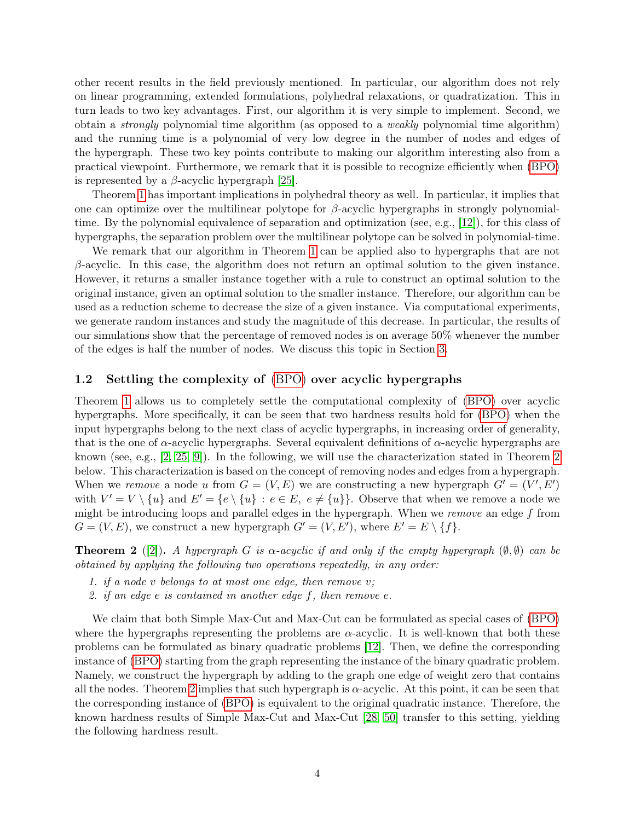other recent results in the field previously mentioned. In particular, our algorithm does not rely on linear programming, extended formulations, polyhedral relaxations, or quadratization. This in turn leads to two key advantages. First, our algorithm it is very simple to implement. Second, we obtain a strongly polynomial time algorithm (as opposed to a weakly polynomial time algorithm) and the running time is a polynomial of very low degree in the number of nodes and edges of the hypergraph. These two key points contribute to making our algorithm interesting also from a practical viewpoint. Furthermore, we remark that it is possible to recognize efficiently when [\(BPO\)](#page-1-0) is represented by a  $\beta$ -acyclic hypergraph [\[25\]](#page-14-8).

Theorem [1](#page-2-1) has important implications in polyhedral theory as well. In particular, it implies that one can optimize over the multilinear polytope for  $\beta$ -acyclic hypergraphs in strongly polynomialtime. By the polynomial equivalence of separation and optimization (see, e.g., [\[12\]](#page-14-5)), for this class of hypergraphs, the separation problem over the multilinear polytope can be solved in polynomial-time.

We remark that our algorithm in Theorem [1](#page-2-1) can be applied also to hypergraphs that are not  $\beta$ -acyclic. In this case, the algorithm does not return an optimal solution to the given instance. However, it returns a smaller instance together with a rule to construct an optimal solution to the original instance, given an optimal solution to the smaller instance. Therefore, our algorithm can be used as a reduction scheme to decrease the size of a given instance. Via computational experiments, we generate random instances and study the magnitude of this decrease. In particular, the results of our simulations show that the percentage of removed nodes is on average 50% whenever the number of the edges is half the number of nodes. We discuss this topic in Section [3.](#page-11-0)

#### <span id="page-3-0"></span>1.2 Settling the complexity of [\(BPO\)](#page-1-0) over acyclic hypergraphs

Theorem [1](#page-2-1) allows us to completely settle the computational complexity of [\(BPO\)](#page-1-0) over acyclic hypergraphs. More specifically, it can be seen that two hardness results hold for [\(BPO\)](#page-1-0) when the input hypergraphs belong to the next class of acyclic hypergraphs, in increasing order of generality, that is the one of  $\alpha$ -acyclic hypergraphs. Several equivalent definitions of  $\alpha$ -acyclic hypergraphs are known (see, e.g., [\[2,](#page-13-5) [25,](#page-14-8) [9\]](#page-14-15)). In the following, we will use the characterization stated in Theorem [2](#page-3-1) below. This characterization is based on the concept of removing nodes and edges from a hypergraph. When we remove a node u from  $G = (V, E)$  we are constructing a new hypergraph  $G' = (V', E')$ with  $V' = V \setminus \{u\}$  and  $E' = \{e \setminus \{u\} : e \in E, e \neq \{u\}\}\)$ . Observe that when we remove a node we might be introducing loops and parallel edges in the hypergraph. When we *remove* an edge  $f$  from  $G = (V, E)$ , we construct a new hypergraph  $G' = (V, E')$ , where  $E' = E \setminus \{f\}$ .

<span id="page-3-1"></span>**Theorem 2** ([\[2\]](#page-13-5)). A hypergraph G is  $\alpha$ -acyclic if and only if the empty hypergraph  $(\emptyset, \emptyset)$  can be obtained by applying the following two operations repeatedly, in any order:

- 1. if a node  $v$  belongs to at most one edge, then remove  $v$ ;
- 2. if an edge e is contained in another edge f, then remove e.

We claim that both Simple Max-Cut and Max-Cut can be formulated as special cases of [\(BPO\)](#page-1-0) where the hypergraphs representing the problems are  $\alpha$ -acyclic. It is well-known that both these problems can be formulated as binary quadratic problems [\[12\]](#page-14-5). Then, we define the corresponding instance of [\(BPO\)](#page-1-0) starting from the graph representing the instance of the binary quadratic problem. Namely, we construct the hypergraph by adding to the graph one edge of weight zero that contains all the nodes. Theorem [2](#page-3-1) implies that such hypergraph is  $\alpha$ -acyclic. At this point, it can be seen that the corresponding instance of [\(BPO\)](#page-1-0) is equivalent to the original quadratic instance. Therefore, the known hardness results of Simple Max-Cut and Max-Cut [\[28,](#page-15-12) [50\]](#page-16-6) transfer to this setting, yielding the following hardness result.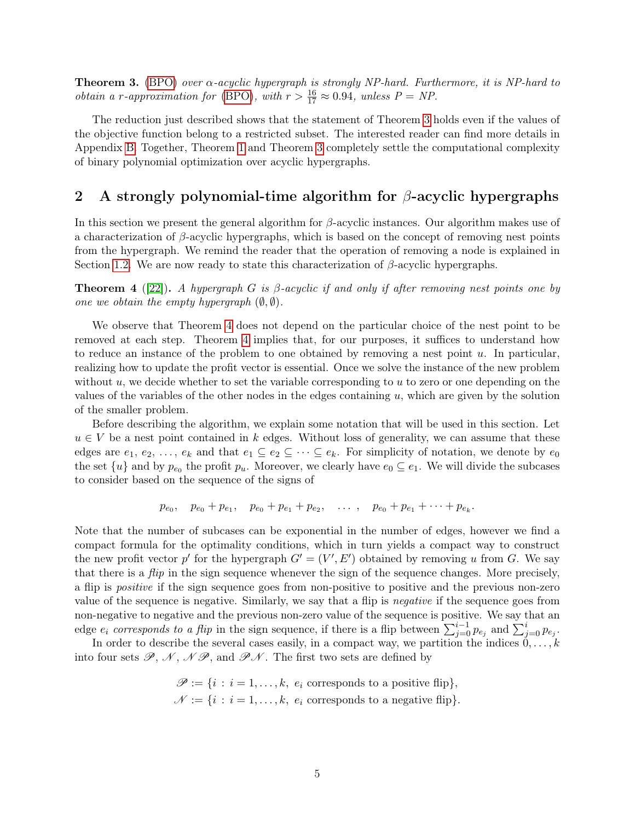<span id="page-4-1"></span>**Theorem 3.** [\(BPO\)](#page-1-0) over  $\alpha$ -acyclic hypergraph is strongly NP-hard. Furthermore, it is NP-hard to *obtain a r-approximation for* [\(BPO\)](#page-1-0), with  $r > \frac{16}{17} \approx 0.94$ , unless  $P = NP$ .

The reduction just described shows that the statement of Theorem [3](#page-4-1) holds even if the values of the objective function belong to a restricted subset. The interested reader can find more details in Appendix [B.](#page-18-0) Together, Theorem [1](#page-2-1) and Theorem [3](#page-4-1) completely settle the computational complexity of binary polynomial optimization over acyclic hypergraphs.

## <span id="page-4-0"></span>2 A strongly polynomial-time algorithm for  $\beta$ -acyclic hypergraphs

In this section we present the general algorithm for  $\beta$ -acyclic instances. Our algorithm makes use of a characterization of  $\beta$ -acyclic hypergraphs, which is based on the concept of removing nest points from the hypergraph. We remind the reader that the operation of removing a node is explained in Section [1.2.](#page-3-0) We are now ready to state this characterization of  $\beta$ -acyclic hypergraphs.

<span id="page-4-2"></span>**Theorem 4** ([\[22\]](#page-14-16)). A hypergraph G is  $\beta$ -acyclic if and only if after removing nest points one by one we obtain the empty hypergraph  $(\emptyset, \emptyset)$ .

We observe that Theorem [4](#page-4-2) does not depend on the particular choice of the nest point to be removed at each step. Theorem [4](#page-4-2) implies that, for our purposes, it suffices to understand how to reduce an instance of the problem to one obtained by removing a nest point  $u$ . In particular, realizing how to update the profit vector is essential. Once we solve the instance of the new problem without  $u$ , we decide whether to set the variable corresponding to  $u$  to zero or one depending on the values of the variables of the other nodes in the edges containing u, which are given by the solution of the smaller problem.

Before describing the algorithm, we explain some notation that will be used in this section. Let  $u \in V$  be a nest point contained in k edges. Without loss of generality, we can assume that these edges are  $e_1, e_2, \ldots, e_k$  and that  $e_1 \subseteq e_2 \subseteq \cdots \subseteq e_k$ . For simplicity of notation, we denote by  $e_0$ the set  $\{u\}$  and by  $p_{e_0}$  the profit  $p_u$ . Moreover, we clearly have  $e_0 \subseteq e_1$ . We will divide the subcases to consider based on the sequence of the signs of

$$
p_{e_0}
$$
,  $p_{e_0} + p_{e_1}$ ,  $p_{e_0} + p_{e_1} + p_{e_2}$ , ...,  $p_{e_0} + p_{e_1} + \cdots + p_{e_k}$ .

Note that the number of subcases can be exponential in the number of edges, however we find a compact formula for the optimality conditions, which in turn yields a compact way to construct the new profit vector p' for the hypergraph  $G' = (V', E')$  obtained by removing u from G. We say that there is a *flip* in the sign sequence whenever the sign of the sequence changes. More precisely, a flip is positive if the sign sequence goes from non-positive to positive and the previous non-zero value of the sequence is negative. Similarly, we say that a flip is negative if the sequence goes from non-negative to negative and the previous non-zero value of the sequence is positive. We say that an edge  $e_i$  corresponds to a flip in the sign sequence, if there is a flip between  $\sum_{j=0}^{i-1} p_{e_j}$  and  $\sum_{j=0}^{i} p_{e_j}$ .

In order to describe the several cases easily, in a compact way, we partition the indices  $0, \ldots, k$ into four sets  $\mathscr{P}, \mathscr{N}, \mathscr{N}\mathscr{P},$  and  $\mathscr{P}\mathscr{N}$ . The first two sets are defined by

> $\mathscr{P} := \{i : i = 1, \ldots, k, e_i \text{ corresponds to a positive flip}\},\$  $\mathcal{N} := \{i : i = 1, \ldots, k, e_i \text{ corresponds to a negative flip}\}.$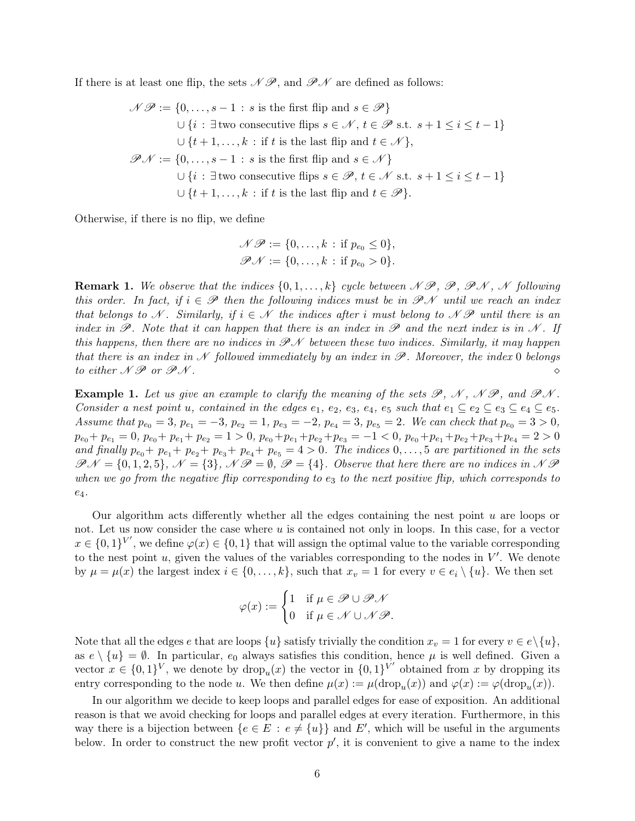If there is at least one flip, the sets  $\mathcal{N} \mathcal{P}$ , and  $\mathcal{P} \mathcal{N}$  are defined as follows:

$$
\mathcal{NP} := \{0, \ldots, s-1 : s \text{ is the first flip and } s \in \mathcal{P}\}
$$
  

$$
\cup \{i : \exists \text{ two consecutive flips } s \in \mathcal{N}, t \in \mathcal{P} \text{ s.t. } s+1 \leq i \leq t-1\}
$$
  

$$
\cup \{t+1, \ldots, k : \text{if } t \text{ is the last flip and } t \in \mathcal{N}\},
$$
  

$$
\mathcal{PN} := \{0, \ldots, s-1 : s \text{ is the first flip and } s \in \mathcal{N}\}
$$
  

$$
\cup \{i : \exists \text{two consecutive flips } s \in \mathcal{P}, t \in \mathcal{N} \text{ s.t. } s+1 \leq i \leq t-1\}
$$
  

$$
\cup \{t+1, \ldots, k : \text{if } t \text{ is the last flip and } t \in \mathcal{P}\}.
$$

Otherwise, if there is no flip, we define

$$
\mathcal{NP} := \{0, \ldots, k : \text{if } p_{e_0} \le 0\},
$$
  

$$
\mathcal{PN} := \{0, \ldots, k : \text{if } p_{e_0} > 0\}.
$$

<span id="page-5-0"></span>**Remark 1.** We observe that the indices  $\{0, 1, \ldots, k\}$  cycle between  $\mathcal{NP}, \mathcal{P}, \mathcal{PN}, \mathcal{N}$  following this order. In fact, if  $i \in \mathscr{P}$  then the following indices must be in  $\mathscr{P} \mathscr{N}$  until we reach an index that belongs to N. Similarly, if  $i \in \mathcal{N}$  the indices after i must belong to NP until there is an index in  $\mathscr{P}$ . Note that it can happen that there is an index in  $\mathscr{P}$  and the next index is in N. If this happens, then there are no indices in  $\mathcal{P} \mathcal{N}$  between these two indices. Similarly, it may happen that there is an index in N followed immediately by an index in  $\mathscr P$ . Moreover, the index 0 belongs to either  $\mathcal N \mathcal P$  or  $\mathcal P \mathcal N$ .

**Example 1.** Let us give an example to clarify the meaning of the sets  $\mathcal{P}, \mathcal{N}, \mathcal{N}\mathcal{P},$  and  $\mathcal{P}\mathcal{N}$ . Consider a nest point u, contained in the edges  $e_1, e_2, e_3, e_4, e_5$  such that  $e_1 \subseteq e_2 \subseteq e_3 \subseteq e_4 \subseteq e_5$ . Assume that  $p_{e_0} = 3$ ,  $p_{e_1} = -3$ ,  $p_{e_2} = 1$ ,  $p_{e_3} = -2$ ,  $p_{e_4} = 3$ ,  $p_{e_5} = 2$ . We can check that  $p_{e_0} = 3 > 0$ ,  $p_{e_0} + p_{e_1} = 0$ ,  $p_{e_0} + p_{e_1} + p_{e_2} = 1 > 0$ ,  $p_{e_0} + p_{e_1} + p_{e_2} + p_{e_3} = -1 < 0$ ,  $p_{e_0} + p_{e_1} + p_{e_2} + p_{e_3} + p_{e_4} = 2 > 0$ and finally  $p_{e_0} + p_{e_1} + p_{e_2} + p_{e_3} + p_{e_4} + p_{e_5} = 4 > 0$ . The indices  $0, \ldots, 5$  are partitioned in the sets  $\mathcal{P} \mathcal{N} = \{0, 1, 2, 5\}, \ \mathcal{N} = \{3\}, \ \mathcal{N} \mathcal{P} = \emptyset, \ \mathcal{P} = \{4\}.$  Observe that here there are no indices in  $\mathcal{N} \mathcal{P}$ when we go from the negative flip corresponding to  $e_3$  to the next positive flip, which corresponds to  $e_4$ .

Our algorithm acts differently whether all the edges containing the nest point  $u$  are loops or not. Let us now consider the case where  $u$  is contained not only in loops. In this case, for a vector  $x \in \{0,1\}^{V'}$ , we define  $\varphi(x) \in \{0,1\}$  that will assign the optimal value to the variable corresponding to the nest point  $u$ , given the values of the variables corresponding to the nodes in  $V'$ . We denote by  $\mu = \mu(x)$  the largest index  $i \in \{0, \ldots, k\}$ , such that  $x_v = 1$  for every  $v \in e_i \setminus \{u\}$ . We then set

$$
\varphi(x) := \begin{cases} 1 & \text{if } \mu \in \mathscr{P} \cup \mathscr{P} \mathscr{N} \\ 0 & \text{if } \mu \in \mathscr{N} \cup \mathscr{N} \mathscr{P}. \end{cases}
$$

Note that all the edges e that are loops  $\{u\}$  satisfy trivially the condition  $x_v = 1$  for every  $v \in e \setminus \{u\}$ , as  $e \setminus \{u\} = \emptyset$ . In particular,  $e_0$  always satisfies this condition, hence  $\mu$  is well defined. Given a vector  $x \in \{0,1\}^V$ , we denote by  $\text{drop}_u(x)$  the vector in  $\{0,1\}^V$  obtained from x by dropping its entry corresponding to the node u. We then define  $\mu(x) := \mu(\text{drop}_u(x))$  and  $\varphi(x) := \varphi(\text{drop}_u(x))$ .

In our algorithm we decide to keep loops and parallel edges for ease of exposition. An additional reason is that we avoid checking for loops and parallel edges at every iteration. Furthermore, in this way there is a bijection between  $\{e \in E : e \neq \{u\}\}\$ and E', which will be useful in the arguments below. In order to construct the new profit vector  $p'$ , it is convenient to give a name to the index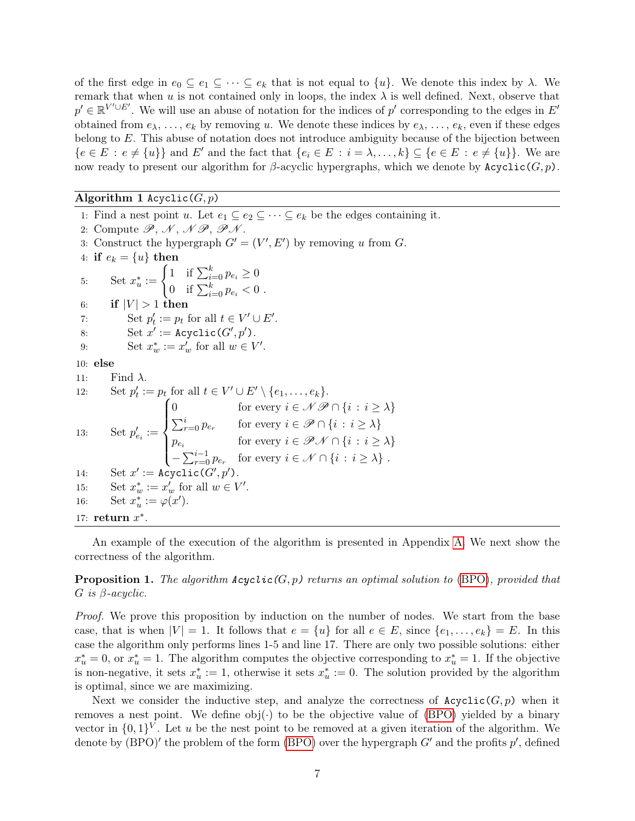of the first edge in  $e_0 \subseteq e_1 \subseteq \cdots \subseteq e_k$  that is not equal to  $\{u\}$ . We denote this index by  $\lambda$ . We remark that when u is not contained only in loops, the index  $\lambda$  is well defined. Next, observe that  $p' \in \mathbb{R}^{V' \cup E'}$ . We will use an abuse of notation for the indices of p' corresponding to the edges in E' obtained from  $e_{\lambda}, \ldots, e_{k}$  by removing u. We denote these indices by  $e_{\lambda}, \ldots, e_{k}$ , even if these edges belong to E. This abuse of notation does not introduce ambiguity because of the bijection between  ${e \in E : e \neq \{u\}}$  and E' and the fact that  ${e_i \in E : i = \lambda, \ldots, k} \subseteq {e \in E : e \neq \{u\}}$ . We are now ready to present our algorithm for β-acyclic hypergraphs, which we denote by  $Acyclic(G, p)$ .

#### Algorithm 1 Acyclic( $G, p$ )

1: Find a nest point u. Let  $e_1 \subseteq e_2 \subseteq \cdots \subseteq e_k$  be the edges containing it. 2: Compute  $\mathscr{P}, \mathscr{N}, \mathscr{N}\mathscr{P}, \mathscr{P}\mathscr{N}.$ 3: Construct the hypergraph  $G' = (V', E')$  by removing u from G. 4: if  $e_k = \{u\}$  then 5: Set  $x_u^* := \begin{cases} 1 & \text{if } \sum_{i=0}^k p_{e_i} \geq 0 \\ 0 & \text{if } \sum_{k=0}^k p_{e_k} \geq 0 \end{cases}$ 0 if  $\sum_{i=0}^{k} p_{e_i} < 0$ . 6: if  $|V| > 1$  then 7: Set  $p'_t := p_t$  for all  $t \in V' \cup E'.$ 8: Set  $x' := \text{Acyclic}(G', p').$ 9: Set  $x_w^* := x_w'$  for all  $w \in V'.$ 10: else 11: Find  $\lambda$ . 12: Set  $p'_t := p_t$  for all  $t \in V' \cup E' \setminus \{e_1, \ldots, e_k\}.$ 13: Set  $p'_{e_i} :=$  $\sqrt{ }$  $\int$  $\mathbf{I}$ 0 for every  $i \in \mathcal{N} \mathcal{P} \cap \{i : i \geq \lambda\}$  $\sum_{r=0}^{i} p_{e_r}$  for every  $i \in \mathscr{P} \cap \{i : i \geq \lambda\}$  $p_{e_i}$  for every  $i \in \mathscr{P} \mathscr{N} \cap \{i : i \geq \lambda\}$  $-\sum_{r=0}^{i-1} p_{e_r}$  for every  $i \in \mathcal{N} \cap \{i : i \geq \lambda\}$ . 14: Set  $x' := \text{Acyclic}(G')$  $, p^{\prime})$ . 15: Set  $x_w^* := x_w'$  for all  $w \in V'.$ 16: Set  $x_u^* := \varphi(x')$ . 17: return  $x^*$ .

An example of the execution of the algorithm is presented in Appendix [A.](#page-17-0) We next show the correctness of the algorithm.

**Proposition 1.** The algorithm  $Acyclic(G, p)$  returns an optimal solution to [\(BPO\)](#page-1-0), provided that  $G$  is  $\beta$ -acyclic.

Proof. We prove this proposition by induction on the number of nodes. We start from the base case, that is when  $|V| = 1$ . It follows that  $e = \{u\}$  for all  $e \in E$ , since  $\{e_1, \ldots, e_k\} = E$ . In this case the algorithm only performs lines 1-5 and line 17. There are only two possible solutions: either  $x_u^* = 0$ , or  $x_u^* = 1$ . The algorithm computes the objective corresponding to  $x_u^* = 1$ . If the objective is non-negative, it sets  $x_u^* := 1$ , otherwise it sets  $x_u^* := 0$ . The solution provided by the algorithm is optimal, since we are maximizing.

Next we consider the inductive step, and analyze the correctness of  $Acyclic(G, p)$  when it removes a nest point. We define  $obj(\cdot)$  to be the objective value of [\(BPO\)](#page-1-0) yielded by a binary vector in  $\{0,1\}^V$ . Let u be the nest point to be removed at a given iteration of the algorithm. We denote by  $(BPO)'$  $(BPO)'$  the problem of the form  $(BPO)$  over the hypergraph  $G'$  and the profits  $p'$ , defined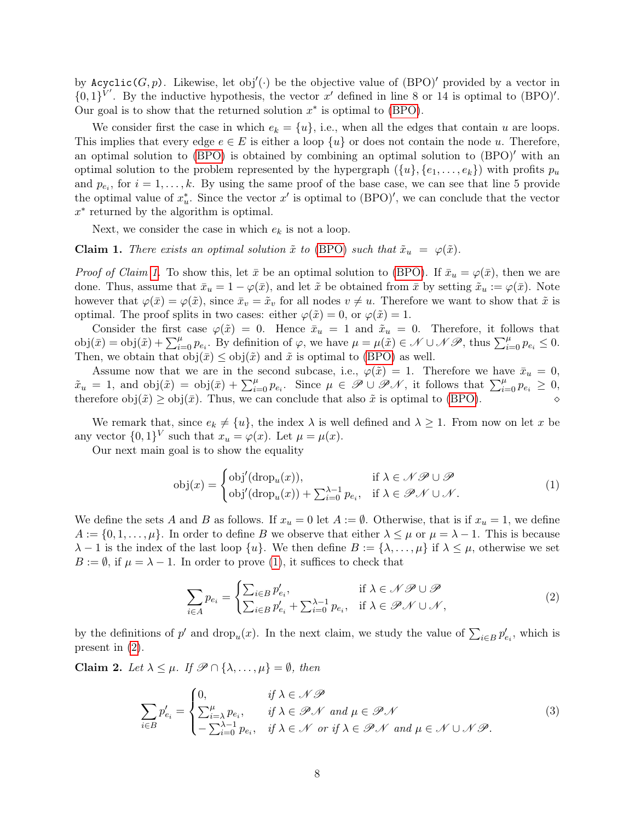by  $Acyclic(G, p)$ . Likewise, let obj'(.) be the objective value of  $(BPO)'$  provided by a vector in  $\{0,1\}^{V'}$ . By the inductive hypothesis, the vector x' defined in line 8 or 14 is optimal to (BPO)'. Our goal is to show that the returned solution  $x^*$  is optimal to [\(BPO\)](#page-1-0).

We consider first the case in which  $e_k = \{u\}$ , i.e., when all the edges that contain u are loops. This implies that every edge  $e \in E$  is either a loop  $\{u\}$  or does not contain the node u. Therefore, an optimal solution to  $(BPO)$  is obtained by combining an optimal solution to  $(BPO)'$  with an optimal solution to the problem represented by the hypergraph  $({u}, {e_1, \ldots, e_k})$  with profits  $p_u$ and  $p_{e_i}$ , for  $i = 1, ..., k$ . By using the same proof of the base case, we can see that line 5 provide the optimal value of  $x_u^*$ . Since the vector  $x'$  is optimal to (BPO)', we can conclude that the vector x ∗ returned by the algorithm is optimal.

Next, we consider the case in which  $e_k$  is not a loop.

<span id="page-7-0"></span>**Claim 1.** There exists an optimal solution  $\tilde{x}$  to [\(BPO\)](#page-1-0) such that  $\tilde{x}_u = \varphi(\tilde{x})$ .

*Proof of Claim [1.](#page-7-0)* To show this, let  $\bar{x}$  be an optimal solution to [\(BPO\)](#page-1-0). If  $\bar{x}_u = \varphi(\bar{x})$ , then we are done. Thus, assume that  $\bar{x}_u = 1 - \varphi(\bar{x})$ , and let  $\tilde{x}$  be obtained from  $\bar{x}$  by setting  $\tilde{x}_u := \varphi(\bar{x})$ . Note however that  $\varphi(\bar{x}) = \varphi(\tilde{x})$ , since  $\bar{x}_v = \tilde{x}_v$  for all nodes  $v \neq u$ . Therefore we want to show that  $\tilde{x}$  is optimal. The proof splits in two cases: either  $\varphi(\tilde{x}) = 0$ , or  $\varphi(\tilde{x}) = 1$ .

Consider the first case  $\varphi(\tilde{x}) = 0$ . Hence  $\bar{x}_u = 1$  and  $\tilde{x}_u = 0$ . Therefore, it follows that  $obj(\bar{x}) = obj(\tilde{x}) + \sum_{i=0}^{\mu} p_{e_i}$ . By definition of  $\varphi$ , we have  $\mu = \mu(\tilde{x}) \in \mathcal{N} \cup \mathcal{NB}$ , thus  $\sum_{i=0}^{\mu} p_{e_i} \leq 0$ . Then, we obtain that  $obj(\bar{x}) \leq obj(\tilde{x})$  and  $\tilde{x}$  is optimal to [\(BPO\)](#page-1-0) as well.

Assume now that we are in the second subcase, i.e.,  $\varphi(\tilde{x}) = 1$ . Therefore we have  $\bar{x}_u = 0$ ,  $\tilde{x}_u = 1$ , and  $obj(\tilde{x}) = obj(\bar{x}) + \sum_{i=0}^{\mu} p_{e_i}$ . Since  $\mu \in \mathscr{P} \cup \mathscr{P} \mathscr{N}$ , it follows that  $\sum_{i=0}^{\mu} p_{e_i} \geq 0$ , therefore  $obj(\tilde{x}) \geq obj(\bar{x})$ . Thus, we can conclude that also  $\tilde{x}$  is optimal to [\(BPO\)](#page-1-0).

We remark that, since  $e_k \neq \{u\}$ , the index  $\lambda$  is well defined and  $\lambda \geq 1$ . From now on let x be any vector  $\{0,1\}^V$  such that  $x_u = \varphi(x)$ . Let  $\mu = \mu(x)$ .

Our next main goal is to show the equality

<span id="page-7-1"></span>
$$
obj(x) = \begin{cases} obj(drop_u(x)), & \text{if } \lambda \in \mathcal{NP} \cup \mathcal{P} \\ obj(drop_u(x)) + \sum_{i=0}^{\lambda-1} p_{e_i}, & \text{if } \lambda \in \mathcal{PN} \cup \mathcal{N}. \end{cases}
$$
(1)

We define the sets A and B as follows. If  $x_u = 0$  let  $A := \emptyset$ . Otherwise, that is if  $x_u = 1$ , we define  $A := \{0, 1, \ldots, \mu\}$ . In order to define B we observe that either  $\lambda \leq \mu$  or  $\mu = \lambda - 1$ . This is because  $\lambda - 1$  is the index of the last loop  $\{u\}$ . We then define  $B := \{\lambda, \dots, \mu\}$  if  $\lambda \leq \mu$ , otherwise we set  $B := \emptyset$ , if  $\mu = \lambda - 1$ . In order to prove [\(1\)](#page-7-1), it suffices to check that

<span id="page-7-4"></span><span id="page-7-2"></span>
$$
\sum_{i \in A} p_{e_i} = \begin{cases} \sum_{i \in B} p'_{e_i}, & \text{if } \lambda \in \mathcal{NP} \cup \mathcal{P} \\ \sum_{i \in B} p'_{e_i} + \sum_{i=0}^{\lambda-1} p_{e_i}, & \text{if } \lambda \in \mathcal{PN} \cup \mathcal{N}, \end{cases}
$$
(2)

by the definitions of  $p'$  and drop<sub>u</sub> $(x)$ . In the next claim, we study the value of  $\sum_{i\in B} p'_{e_i}$ , which is present in [\(2\)](#page-7-2).

<span id="page-7-3"></span>Claim 2. Let  $\lambda \leq \mu$ . If  $\mathscr{P} \cap {\lambda, \ldots, \mu} = \emptyset$ , then

$$
\sum_{i \in B} p'_{e_i} = \begin{cases} 0, & \text{if } \lambda \in \mathcal{N} \mathcal{P} \\ \sum_{i=\lambda}^{\mu} p_{e_i}, & \text{if } \lambda \in \mathcal{P} \mathcal{N} \text{ and } \mu \in \mathcal{P} \mathcal{N} \\ -\sum_{i=0}^{\lambda-1} p_{e_i}, & \text{if } \lambda \in \mathcal{N} \text{ or if } \lambda \in \mathcal{P} \mathcal{N} \text{ and } \mu \in \mathcal{N} \cup \mathcal{N} \mathcal{P}. \end{cases}
$$
(3)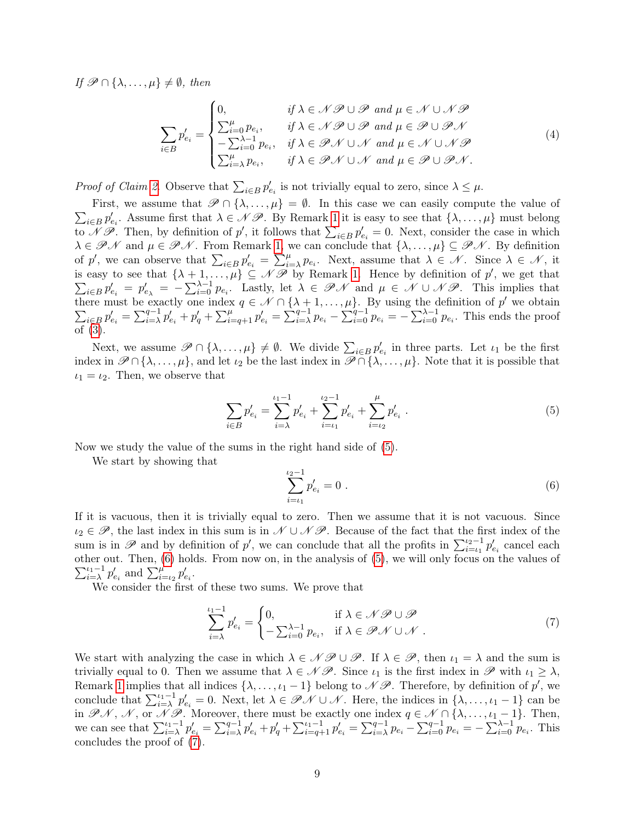If  $\mathscr{P} \cap {\lambda, \ldots, \mu} \neq \emptyset$ , then

<span id="page-8-3"></span>
$$
\sum_{i \in B} p'_{e_i} = \begin{cases} 0, & \text{if } \lambda \in \mathcal{NP} \cup \mathcal{P} \text{ and } \mu \in \mathcal{N} \cup \mathcal{NP} \\ \sum_{i=0}^{\mu} p_{e_i}, & \text{if } \lambda \in \mathcal{NP} \cup \mathcal{P} \text{ and } \mu \in \mathcal{P} \cup \mathcal{PN} \\ -\sum_{i=0}^{\lambda-1} p_{e_i}, & \text{if } \lambda \in \mathcal{PN} \cup \mathcal{N} \text{ and } \mu \in \mathcal{N} \cup \mathcal{NP} \\ \sum_{i=\lambda}^{\mu} p_{e_i}, & \text{if } \lambda \in \mathcal{PN} \cup \mathcal{N} \text{ and } \mu \in \mathcal{P} \cup \mathcal{PN}. \end{cases} (4)
$$

*Proof of Claim [2.](#page-7-3)* Observe that  $\sum_{i \in B} p'_{e_i}$  is not trivially equal to zero, since  $\lambda \leq \mu$ .

 $\sum_{i\in B} p'_{e_i}$ . Assume first that  $\lambda \in \mathcal{NP}$ . By Remark [1](#page-5-0) it is easy to see that  $\{\lambda, \ldots, \mu\}$  must belong First, we assume that  $\mathscr{P} \cap {\lambda, \dots, \mu} = \emptyset$ . In this case we can easily compute the value of to  $\mathscr{N} \mathscr{P}$ . Then, by definition of p', it follows that  $\sum_{i \in B} p'_{e_i} = 0$ . Next, consider the case in which  $\lambda \in \mathcal{P} \mathcal{N}$  and  $\mu \in \mathcal{P} \mathcal{N}$ . From Remark [1,](#page-5-0) we can conclude that  $\{\lambda, \ldots, \mu\} \subseteq \mathcal{P} \mathcal{N}$ . By definition of p', we can observe that  $\sum_{i\in B} p'_{e_i} = \sum_{i=\lambda}^{\mu} p_{e_i}$ . Next, assume that  $\lambda \in \mathcal{N}$ . Since  $\lambda \in \mathcal{N}$ , it is easy to see that  $\{\lambda + 1, \ldots, \mu\} \subseteq \mathcal{N}$  by Remark [1.](#page-5-0) Hence by definition of  $p'$  $\sum$ , we get that  $p'_{e_i} = p'_{e_{\lambda}} = -\sum_{i=0}^{\lambda-1} p_{e_i}$ . Lastly, let  $\lambda \in \mathscr{P} \mathscr{N}$  and  $\mu \in \mathscr{N} \cup \mathscr{N} \mathscr{P}$ . This implies that there must be exactly one index  $q \in \mathcal{N} \cap \{\lambda + 1, \ldots, \mu\}$ . By using the definition of  $p'$  $\sum$ we obtain  $\sum_{i\in B} p'_{e_i} = \sum_{i=\lambda}^{q-1} p'_{e_i} + p'_q + \sum_{i=q+1}^{\mu} p'_{e_i} = \sum_{i=\lambda}^{q-1} p_{e_i} - \sum_{i=0}^{q-1} p_{e_i} = -\sum_{i=0}^{\lambda-1} p_{e_i}$ . This ends the proof of [\(3\)](#page-7-4).

Next, we assume  $\mathscr{P} \cap \{\lambda,\ldots,\mu\} \neq \emptyset$ . We divide  $\sum_{i \in B} p'_{e_i}$  in three parts. Let  $\iota_1$  be the first index in  $\mathscr{P} \cap {\lambda, \ldots, \mu}$ , and let  $\iota_2$  be the last index in  $\mathscr{P} \cap {\lambda, \ldots, \mu}$ . Note that it is possible that  $\iota_1 = \iota_2$ . Then, we observe that

<span id="page-8-1"></span><span id="page-8-0"></span>
$$
\sum_{i \in B} p'_{e_i} = \sum_{i=\lambda}^{\iota_1 - 1} p'_{e_i} + \sum_{i=\iota_1}^{\iota_2 - 1} p'_{e_i} + \sum_{i=\iota_2}^{\mu} p'_{e_i}.
$$
\n
$$
(5)
$$

Now we study the value of the sums in the right hand side of [\(5\)](#page-8-0).

We start by showing that

<span id="page-8-2"></span>
$$
\sum_{i=\iota_1}^{\iota_2-1} p'_{e_i} = 0 \tag{6}
$$

If it is vacuous, then it is trivially equal to zero. Then we assume that it is not vacuous. Since  $i_2 \in \mathscr{P}$ , the last index in this sum is in  $\mathscr{N} \cup \mathscr{N} \mathscr{P}$ . Because of the fact that the first index of the sum is in  $\mathscr P$  and by definition of p', we can conclude that all the profits in  $\sum_{i=1}^{i_2-1} p'_{e_i}$  cancel each other out. Then, [\(6\)](#page-8-1) holds. From now on, in the analysis of [\(5\)](#page-8-0), we will only focus on the values of  $\sum_{i=\lambda}^{\iota_1-1} p'_{e_i}$  and  $\sum_{i=\iota_2}^{\mu} p'_{e_i}$ .

We consider the first of these two sums. We prove that

$$
\sum_{i=\lambda}^{\iota_1-1} p'_{e_i} = \begin{cases} 0, & \text{if } \lambda \in \mathcal{N} \mathcal{P} \cup \mathcal{P} \\ -\sum_{i=0}^{\lambda-1} p_{e_i}, & \text{if } \lambda \in \mathcal{P} \mathcal{N} \cup \mathcal{N} \end{cases} \tag{7}
$$

We start with analyzing the case in which  $\lambda \in \mathcal{N}$   $\mathcal{P} \cup \mathcal{P}$ . If  $\lambda \in \mathcal{P}$ , then  $\iota_1 = \lambda$  and the sum is trivially equal to 0. Then we assume that  $\lambda \in \mathcal{NP}$ . Since  $\iota_1$  is the first index in  $\mathcal{P}$  with  $\iota_1 \geq \lambda$ , Remark [1](#page-5-0) implies that all indices  $\{\lambda, \ldots, \iota_1 - 1\}$  belong to  $\mathscr{N} \mathscr{P}$ . Therefore, by definition of  $p'$ , we conclude that  $\sum_{i=\lambda}^{i_1-1} p'_{e_i} = 0$ . Next, let  $\lambda \in \mathscr{P} \mathscr{N} \cup \mathscr{N}$ . Here, the indices in  $\{\lambda, \ldots, \iota_1 - 1\}$  can be in  $\mathscr{P}\mathscr{N}, \mathscr{N},$  or  $\mathscr{N}\mathscr{P}$ . Moreover, there must be exactly one index  $q \in \mathscr{N} \cap {\lambda, \ldots, \iota_1 - 1}.$  Then, we can see that  $\sum_{i=\lambda}^{i_1-1} p'_{e_i} = \sum_{i=\lambda}^{q-1} p'_{e_i} + p'_q + \sum_{i=q+1}^{i_1-1} p'_{e_i} = \sum_{i=\lambda}^{q-1} p_{e_i} - \sum_{i=0}^{q-1} p_{e_i} = -\sum_{i=0}^{\lambda-1} p_{e_i}$ . This concludes the proof of [\(7\)](#page-8-2).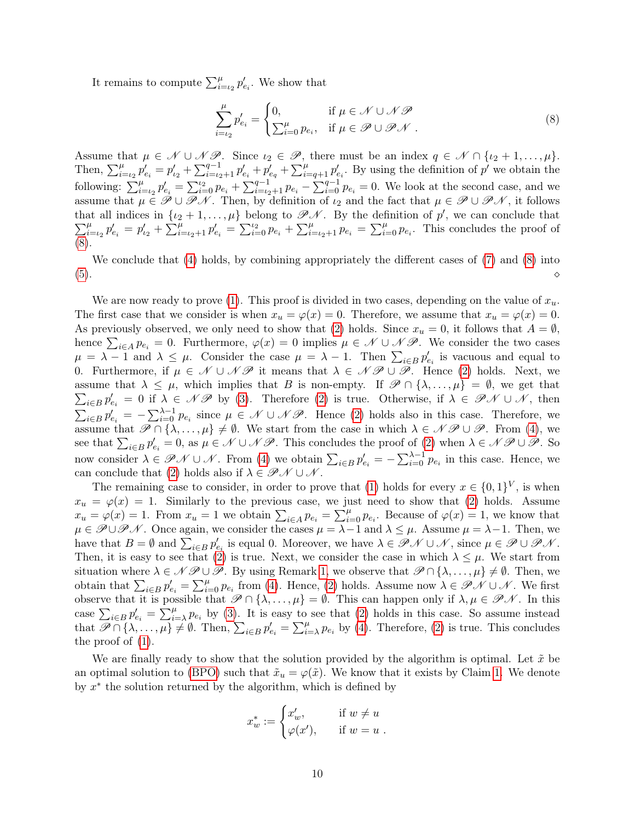It remains to compute  $\sum_{i=\iota_2}^{\mu} p'_{e_i}$ . We show that

<span id="page-9-0"></span>
$$
\sum_{i=\iota_2}^{\mu} p'_{e_i} = \begin{cases} 0, & \text{if } \mu \in \mathcal{N} \cup \mathcal{N} \mathcal{P} \\ \sum_{i=0}^{\mu} p_{e_i}, & \text{if } \mu \in \mathcal{P} \cup \mathcal{P} \mathcal{N} \end{cases} \tag{8}
$$

Assume that  $\mu \in \mathcal{N} \cup \mathcal{NP}$ . Since  $\iota_2 \in \mathcal{P}$ , there must be an index  $q \in \mathcal{N} \cap {\iota_2 + 1, ..., \mu}$ . Then,  $\sum_{i=t_2}^{\mu} p'_{e_i} = p'_{t_2} + \sum_{i=t_2+1}^{q-1} p'_{e_i} + p'_{e_q} + \sum_{i=q+1}^{\mu} p'_{e_i}$ . By using the definition of  $p'$  we obtain the following:  $\sum_{i=1}^{\mu} p'_{e_i} = \sum_{i=0}^{12} p_{e_i} + \sum_{i=1}^{q-1} p_{e_i} - \sum_{i=0}^{q-1} p_{e_i} = 0$ . We look at the second case, and we assume that  $\mu \in \mathscr{P} \cup \mathscr{P} \mathscr{N}$ . Then, by definition of  $\iota_2$  and the fact that  $\mu \in \mathscr{P} \cup \mathscr{P} \mathscr{N}$ , it follows that all indices in  $\{\iota_2+1,\ldots,\mu\}$  belong to  $\mathscr{P} \mathscr{N}$ . By the definition of  $p'$ , we can conclude that  $\sum_i^\mu$  $\sum_{i=\iota_2}^{\mu} p'_{e_i} = p'_{\iota_2} + \sum_{i=\iota_2+1}^{\mu} p'_{e_i} = \sum_{i=0}^{\iota_2} p_{e_i} + \sum_{i=\iota_2+1}^{\mu} p_{e_i} = \sum_{i=0}^{\mu} p_{e_i}$ . This concludes the proof of [\(8\)](#page-9-0).

We conclude that [\(4\)](#page-8-3) holds, by combining appropriately the different cases of [\(7\)](#page-8-2) and [\(8\)](#page-9-0) into  $(5).$  $(5).$ 

We are now ready to prove [\(1\)](#page-7-1). This proof is divided in two cases, depending on the value of  $x_u$ . The first case that we consider is when  $x_u = \varphi(x) = 0$ . Therefore, we assume that  $x_u = \varphi(x) = 0$ . As previously observed, we only need to show that [\(2\)](#page-7-2) holds. Since  $x_u = 0$ , it follows that  $A = \emptyset$ , hence  $\sum_{i\in A} p_{e_i} = 0$ . Furthermore,  $\varphi(x) = 0$  implies  $\mu \in \mathcal{N} \cup \mathcal{NP}$ . We consider the two cases  $\mu = \lambda - 1$  and  $\lambda \leq \mu$ . Consider the case  $\mu = \lambda - 1$ . Then  $\sum_{i \in B} p'_{e_i}$  is vacuous and equal to 0. Furthermore, if  $\mu \in \mathcal{N} \cup \mathcal{NP}$  it means that  $\lambda \in \mathcal{NP} \cup \mathcal{P}$ . Hence [\(2\)](#page-7-2) holds. Next, we assume that  $\lambda \leq \mu$ , which implies that B is non-empty. If  $\mathscr{P} \cap {\lambda, \ldots, \mu} = \emptyset$ , we get that  $\sum_{i\in B} p'_{e_i} = 0$  if  $\lambda \in \mathscr{N}$  by [\(3\)](#page-7-4). Therefore [\(2\)](#page-7-2) is true. Otherwise, if  $\lambda \in \mathscr{P} \mathscr{N} \cup \mathscr{N}$ , then  $\sum_{i\in B} p'_{e_i} = -\sum_{i=0}^{\lambda-1} p_{e_i}$  since  $\mu \in \mathcal{N} \cup \mathcal{NP}$ . Hence [\(2\)](#page-7-2) holds also in this case. Therefore, we assume that  $\mathscr{P} \cap {\lambda, \ldots, \mu} \neq \emptyset$ . We start from the case in which  $\lambda \in \mathscr{N} \mathscr{P} \cup \mathscr{P}$ . From [\(4\)](#page-8-3), we see that  $\sum_{i\in B} p'_{e_i} = 0$ , as  $\mu \in \mathcal{N} \cup \mathcal{NP}$ . This concludes the proof of [\(2\)](#page-7-2) when  $\lambda \in \mathcal{NP} \cup \mathcal{P}$ . So now consider  $\lambda \in \mathscr{P} \mathscr{N} \cup \mathscr{N}$ . From [\(4\)](#page-8-3) we obtain  $\sum_{i \in B} p'_{e_i} = -\sum_{i=0}^{\lambda-1} p_{e_i}$  in this case. Hence, we can conclude that [\(2\)](#page-7-2) holds also if  $\lambda \in \mathscr{P} \mathscr{N} \cup \mathscr{N}$ .

The remaining case to consider, in order to prove that [\(1\)](#page-7-1) holds for every  $x \in \{0,1\}^V$ , is when  $x_u = \varphi(x) = 1$ . Similarly to the previous case, we just need to show that [\(2\)](#page-7-2) holds. Assume  $x_u = \varphi(x) = 1$ . From  $x_u = 1$  we obtain  $\sum_{i \in A} p_{e_i} = \sum_{i=0}^{\mu} p_{e_i}$ . Because of  $\varphi(x) = 1$ , we know that  $\mu \in \mathscr{P} \cup \mathscr{P} \mathscr{N}$ . Once again, we consider the cases  $\mu = \lambda - 1$  and  $\lambda \leq \mu$ . Assume  $\mu = \lambda - 1$ . Then, we have that  $B = \emptyset$  and  $\sum_{i \in B} p'_{e_i}$  is equal 0. Moreover, we have  $\lambda \in \mathscr{P} \mathscr{N} \cup \mathscr{N}$ , since  $\mu \in \mathscr{P} \cup \mathscr{P} \mathscr{N}$ . Then, it is easy to see that [\(2\)](#page-7-2) is true. Next, we consider the case in which  $\lambda \leq \mu$ . We start from situation where  $\lambda \in \mathcal{N} \mathcal{P} \cup \mathcal{P}$ . By using Remark [1,](#page-5-0) we observe that  $\mathcal{P} \cap {\lambda, ..., \mu} \neq \emptyset$ . Then, we obtain that  $\sum_{i\in B} p'_{e_i} = \sum_{i=0}^{\mu} p_{e_i}$  from [\(4\)](#page-8-3). Hence, [\(2\)](#page-7-2) holds. Assume now  $\lambda \in \mathscr{P}\mathscr{N} \cup \mathscr{N}$ . We first observe that it is possible that  $\mathscr{P} \cap {\lambda, \ldots, \mu} = \emptyset$ . This can happen only if  $\lambda, \mu \in \mathscr{P} \mathscr{N}$ . In this case  $\sum_{i\in B} p'_{e_i} = \sum_{i=\lambda}^{\mu} p_{e_i}$  by [\(3\)](#page-7-4). It is easy to see that [\(2\)](#page-7-2) holds in this case. So assume instead that  $\mathscr{P} \cap {\lambda, \ldots, \mu} \neq \emptyset$ . Then,  $\sum_{i \in B} p'_{e_i} = \sum_{i=\lambda}^{\mu} p_{e_i}$  by [\(4\)](#page-8-3). Therefore, [\(2\)](#page-7-2) is true. This concludes the proof of [\(1\)](#page-7-1).

We are finally ready to show that the solution provided by the algorithm is optimal. Let  $\tilde{x}$  be an optimal solution to [\(BPO\)](#page-1-0) such that  $\tilde{x}_u = \varphi(\tilde{x})$ . We know that it exists by Claim [1.](#page-7-0) We denote by  $x^*$  the solution returned by the algorithm, which is defined by

$$
x_w^* := \begin{cases} x'_w, & \text{if } w \neq u \\ \varphi(x'), & \text{if } w = u \end{cases}.
$$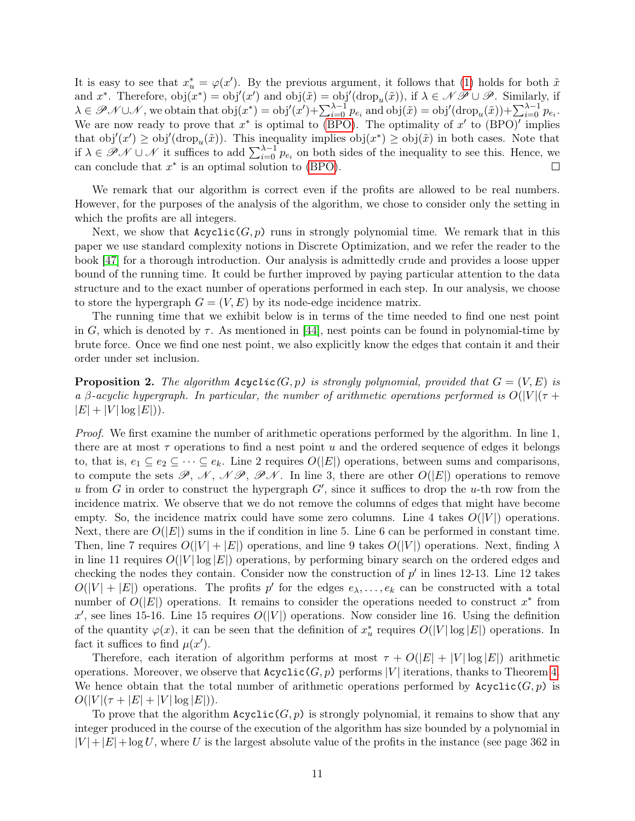It is easy to see that  $x^*_{u} = \varphi(x')$ . By the previous argument, it follows that [\(1\)](#page-7-1) holds for both  $\tilde{x}$ and  $x^*$ . Therefore,  $obj(x^*) = obj'(x')$  and  $obj(\tilde{x}) = obj'(drop_u(\tilde{x}))$ , if  $\lambda \in \mathcal{NP} \cup \mathcal{P}$ . Similarly, if  $\lambda \in \mathscr{P} \mathscr{N} \cup \mathscr{N}$ , we obtain that  $obj(x^*) = obj'(x') + \sum_{i=0}^{\lambda-1} p_{e_i}$  and  $obj(\tilde{x}) = obj'(drop_u(\tilde{x})) + \sum_{i=0}^{\lambda-1} p_{e_i}$ . We are now ready to prove that  $x^*$  is optimal to [\(BPO\)](#page-1-0). The optimality of  $x'$  to (BPO)' implies that  $obj'(x') \geq obj'(drop_u(\tilde{x}))$ . This inequality implies  $obj(x^*) \geq obj(\tilde{x})$  in both cases. Note that if  $\lambda \in \mathscr{P} \mathscr{N} \cup \mathscr{N}$  it suffices to add  $\sum_{i=0}^{\lambda-1} p_{e_i}$  on both sides of the inequality to see this. Hence, we can conclude that  $x^*$  is an optimal solution to [\(BPO\)](#page-1-0).  $\Box$ 

We remark that our algorithm is correct even if the profits are allowed to be real numbers. However, for the purposes of the analysis of the algorithm, we chose to consider only the setting in which the profits are all integers.

Next, we show that  $Acyclic(G, p)$  runs in strongly polynomial time. We remark that in this paper we use standard complexity notions in Discrete Optimization, and we refer the reader to the book [\[47\]](#page-16-7) for a thorough introduction. Our analysis is admittedly crude and provides a loose upper bound of the running time. It could be further improved by paying particular attention to the data structure and to the exact number of operations performed in each step. In our analysis, we choose to store the hypergraph  $G = (V, E)$  by its node-edge incidence matrix.

The running time that we exhibit below is in terms of the time needed to find one nest point in G, which is denoted by  $\tau$ . As mentioned in [\[44\]](#page-16-4), nest points can be found in polynomial-time by brute force. Once we find one nest point, we also explicitly know the edges that contain it and their order under set inclusion.

**Proposition 2.** The algorithm  $Acyclic(G, p)$  is strongly polynomial, provided that  $G = (V, E)$  is a β-acyclic hypergraph. In particular, the number of arithmetic operations performed is  $O(|V|(\tau +$  $|E| + |V| \log |E|$ ).

Proof. We first examine the number of arithmetic operations performed by the algorithm. In line 1, there are at most  $\tau$  operations to find a nest point u and the ordered sequence of edges it belongs to, that is,  $e_1 \subseteq e_2 \subseteq \cdots \subseteq e_k$ . Line 2 requires  $O(|E|)$  operations, between sums and comparisons, to compute the sets  $\mathscr{P}, \mathscr{N}, \mathscr{N}\mathscr{P}, \mathscr{P}\mathscr{N}$ . In line 3, there are other  $O(|E|)$  operations to remove u from  $G$  in order to construct the hypergraph  $G'$ , since it suffices to drop the u-th row from the incidence matrix. We observe that we do not remove the columns of edges that might have become empty. So, the incidence matrix could have some zero columns. Line 4 takes  $O(|V|)$  operations. Next, there are  $O(|E|)$  sums in the if condition in line 5. Line 6 can be performed in constant time. Then, line 7 requires  $O(|V| + |E|)$  operations, and line 9 takes  $O(|V|)$  operations. Next, finding  $\lambda$ in line 11 requires  $O(|V| \log |E|)$  operations, by performing binary search on the ordered edges and checking the nodes they contain. Consider now the construction of  $p'$  in lines 12-13. Line 12 takes  $O(|V| + |E|)$  operations. The profits p' for the edges  $e_{\lambda}, \ldots, e_{k}$  can be constructed with a total number of  $O(|E|)$  operations. It remains to consider the operations needed to construct  $x^*$  from x', see lines 15-16. Line 15 requires  $O(|V|)$  operations. Now consider line 16. Using the definition of the quantity  $\varphi(x)$ , it can be seen that the definition of  $x_u^*$  requires  $O(|V| \log |E|)$  operations. In fact it suffices to find  $\mu(x')$ .

Therefore, each iteration of algorithm performs at most  $\tau + O(|E| + |V| \log |E|)$  arithmetic operations. Moreover, we observe that  $Acyclic(G, p)$  performs |V| iterations, thanks to Theorem [4.](#page-4-2) We hence obtain that the total number of arithmetic operations performed by  $Acyclic(G, p)$  is  $O(|V|(\tau + |E| + |V| \log |E|)).$ 

To prove that the algorithm  $Acyclic(G, p)$  is strongly polynomial, it remains to show that any integer produced in the course of the execution of the algorithm has size bounded by a polynomial in  $|V| + |E| + \log U$ , where U is the largest absolute value of the profits in the instance (see page 362 in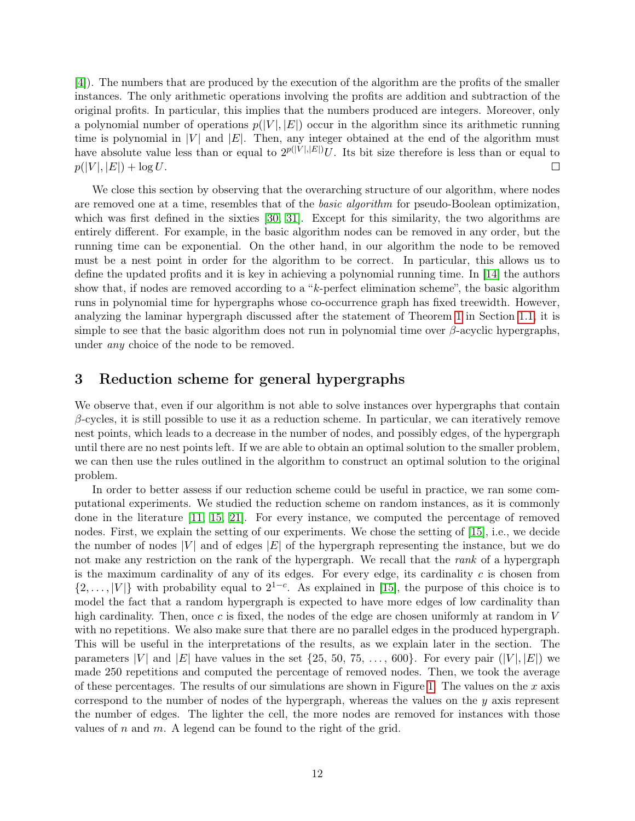[\[4\]](#page-13-6)). The numbers that are produced by the execution of the algorithm are the profits of the smaller instances. The only arithmetic operations involving the profits are addition and subtraction of the original profits. In particular, this implies that the numbers produced are integers. Moreover, only a polynomial number of operations  $p(|V|, |E|)$  occur in the algorithm since its arithmetic running time is polynomial in  $|V|$  and  $|E|$ . Then, any integer obtained at the end of the algorithm must have absolute value less than or equal to  $2^{p(|V|,|E|)}U$ . Its bit size therefore is less than or equal to  $p(|V|, |E|) + \log U$ . П

We close this section by observing that the overarching structure of our algorithm, where nodes are removed one at a time, resembles that of the *basic algorithm* for pseudo-Boolean optimization, which was first defined in the sixties [\[30,](#page-15-8) [31\]](#page-15-9). Except for this similarity, the two algorithms are entirely different. For example, in the basic algorithm nodes can be removed in any order, but the running time can be exponential. On the other hand, in our algorithm the node to be removed must be a nest point in order for the algorithm to be correct. In particular, this allows us to define the updated profits and it is key in achieving a polynomial running time. In [\[14\]](#page-14-7) the authors show that, if nodes are removed according to a "k-perfect elimination scheme", the basic algorithm runs in polynomial time for hypergraphs whose co-occurrence graph has fixed treewidth. However, analyzing the laminar hypergraph discussed after the statement of Theorem [1](#page-2-1) in Section [1.1,](#page-2-0) it is simple to see that the basic algorithm does not run in polynomial time over  $\beta$ -acyclic hypergraphs, under any choice of the node to be removed.

#### <span id="page-11-0"></span>3 Reduction scheme for general hypergraphs

We observe that, even if our algorithm is not able to solve instances over hypergraphs that contain  $\beta$ -cycles, it is still possible to use it as a reduction scheme. In particular, we can iteratively remove nest points, which leads to a decrease in the number of nodes, and possibly edges, of the hypergraph until there are no nest points left. If we are able to obtain an optimal solution to the smaller problem, we can then use the rules outlined in the algorithm to construct an optimal solution to the original problem.

In order to better assess if our reduction scheme could be useful in practice, we ran some computational experiments. We studied the reduction scheme on random instances, as it is commonly done in the literature [\[11,](#page-14-13) [15,](#page-14-9) [21\]](#page-14-1). For every instance, we computed the percentage of removed nodes. First, we explain the setting of our experiments. We chose the setting of [\[15\]](#page-14-9), i.e., we decide the number of nodes |V| and of edges |E| of the hypergraph representing the instance, but we do not make any restriction on the rank of the hypergraph. We recall that the *rank* of a hypergraph is the maximum cardinality of any of its edges. For every edge, its cardinality  $c$  is chosen from  $\{2,\ldots,|V|\}$  with probability equal to  $2^{1-c}$ . As explained in [\[15\]](#page-14-9), the purpose of this choice is to model the fact that a random hypergraph is expected to have more edges of low cardinality than high cardinality. Then, once c is fixed, the nodes of the edge are chosen uniformly at random in  $V$ with no repetitions. We also make sure that there are no parallel edges in the produced hypergraph. This will be useful in the interpretations of the results, as we explain later in the section. The parameters |V| and |E| have values in the set  $\{25, 50, 75, \ldots, 600\}$ . For every pair  $(|V|, |E|)$  we made 250 repetitions and computed the percentage of removed nodes. Then, we took the average of these percentages. The results of our simulations are shown in Figure [1.](#page-12-0) The values on the x axis correspond to the number of nodes of the hypergraph, whereas the values on the  $y$  axis represent the number of edges. The lighter the cell, the more nodes are removed for instances with those values of  $n$  and  $m$ . A legend can be found to the right of the grid.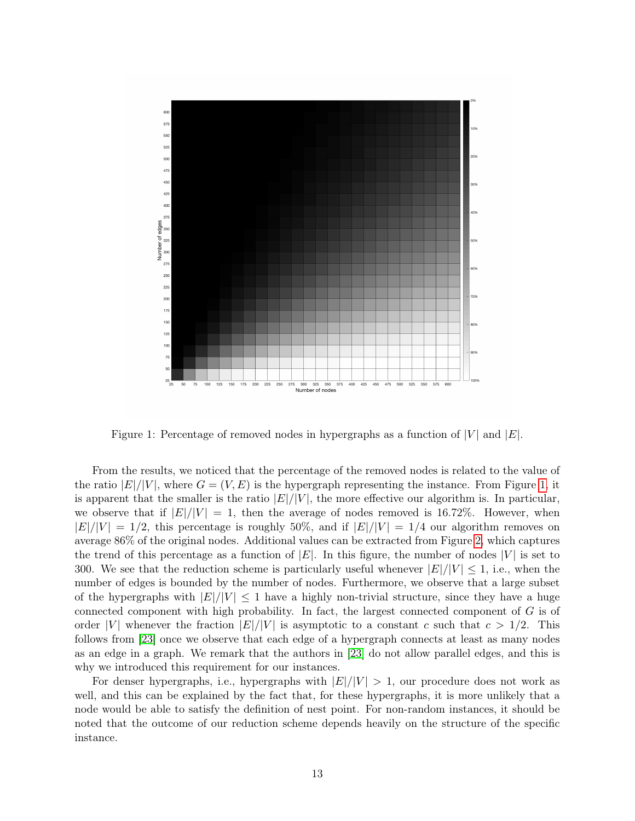<span id="page-12-0"></span>

Figure 1: Percentage of removed nodes in hypergraphs as a function of  $|V|$  and  $|E|$ .

From the results, we noticed that the percentage of the removed nodes is related to the value of the ratio  $|E|/|V|$ , where  $G = (V, E)$  is the hypergraph representing the instance. From Figure [1,](#page-12-0) it is apparent that the smaller is the ratio  $|E|/|V|$ , the more effective our algorithm is. In particular, we observe that if  $|E|/|V| = 1$ , then the average of nodes removed is 16.72%. However, when  $|E|/|V| = 1/2$ , this percentage is roughly 50%, and if  $|E|/|V| = 1/4$  our algorithm removes on average 86% of the original nodes. Additional values can be extracted from Figure [2,](#page-13-7) which captures the trend of this percentage as a function of  $|E|$ . In this figure, the number of nodes  $|V|$  is set to 300. We see that the reduction scheme is particularly useful whenever  $|E|/|V| \leq 1$ , i.e., when the number of edges is bounded by the number of nodes. Furthermore, we observe that a large subset of the hypergraphs with  $|E|/|V| \leq 1$  have a highly non-trivial structure, since they have a huge connected component with high probability. In fact, the largest connected component of  $G$  is of order |V| whenever the fraction  $|E|/|V|$  is asymptotic to a constant c such that  $c > 1/2$ . This follows from [\[23\]](#page-14-17) once we observe that each edge of a hypergraph connects at least as many nodes as an edge in a graph. We remark that the authors in [\[23\]](#page-14-17) do not allow parallel edges, and this is why we introduced this requirement for our instances.

For denser hypergraphs, i.e., hypergraphs with  $|E|/|V| > 1$ , our procedure does not work as well, and this can be explained by the fact that, for these hypergraphs, it is more unlikely that a node would be able to satisfy the definition of nest point. For non-random instances, it should be noted that the outcome of our reduction scheme depends heavily on the structure of the specific instance.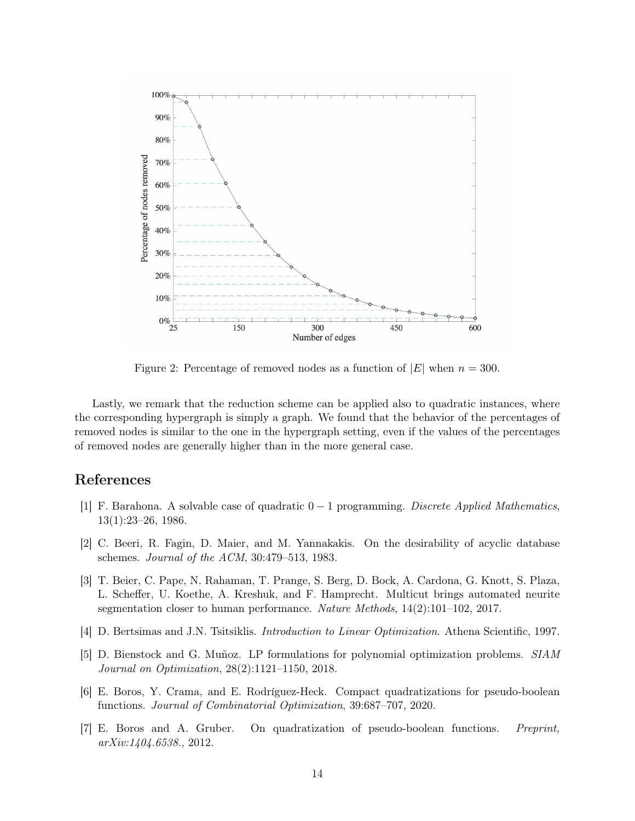<span id="page-13-7"></span>

Figure 2: Percentage of removed nodes as a function of  $|E|$  when  $n = 300$ .

Lastly, we remark that the reduction scheme can be applied also to quadratic instances, where the corresponding hypergraph is simply a graph. We found that the behavior of the percentages of removed nodes is similar to the one in the hypergraph setting, even if the values of the percentages of removed nodes are generally higher than in the more general case.

#### References

- <span id="page-13-0"></span>[1] F. Barahona. A solvable case of quadratic 0 − 1 programming. Discrete Applied Mathematics, 13(1):23–26, 1986.
- <span id="page-13-5"></span>[2] C. Beeri, R. Fagin, D. Maier, and M. Yannakakis. On the desirability of acyclic database schemes. Journal of the ACM, 30:479–513, 1983.
- <span id="page-13-4"></span>[3] T. Beier, C. Pape, N. Rahaman, T. Prange, S. Berg, D. Bock, A. Cardona, G. Knott, S. Plaza, L. Scheffer, U. Koethe, A. Kreshuk, and F. Hamprecht. Multicut brings automated neurite segmentation closer to human performance. Nature Methods, 14(2):101–102, 2017.
- <span id="page-13-6"></span>[4] D. Bertsimas and J.N. Tsitsiklis. Introduction to Linear Optimization. Athena Scientific, 1997.
- <span id="page-13-1"></span>[5] D. Bienstock and G. Muñoz. LP formulations for polynomial optimization problems. SIAM Journal on Optimization, 28(2):1121–1150, 2018.
- <span id="page-13-3"></span>[6] E. Boros, Y. Crama, and E. Rodríguez-Heck. Compact quadratizations for pseudo-boolean functions. Journal of Combinatorial Optimization, 39:687–707, 2020.
- <span id="page-13-2"></span>[7] E. Boros and A. Gruber. On quadratization of pseudo-boolean functions. Preprint, arXiv:1404.6538., 2012.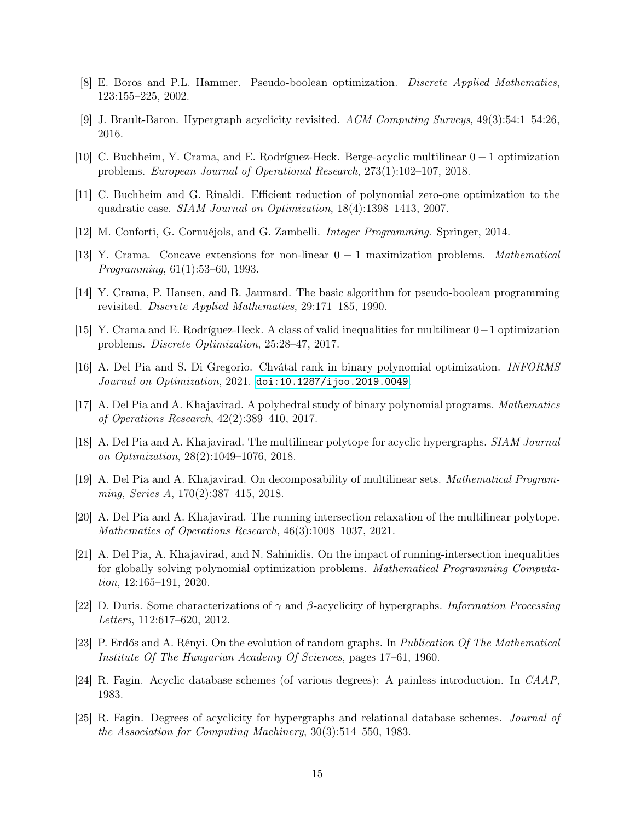- <span id="page-14-0"></span>[8] E. Boros and P.L. Hammer. Pseudo-boolean optimization. Discrete Applied Mathematics, 123:155–225, 2002.
- <span id="page-14-15"></span>[9] J. Brault-Baron. Hypergraph acyclicity revisited. ACM Computing Surveys, 49(3):54:1–54:26, 2016.
- <span id="page-14-11"></span>[10] C. Buchheim, Y. Crama, and E. Rodríguez-Heck. Berge-acyclic multilinear 0 − 1 optimization problems. European Journal of Operational Research, 273(1):102–107, 2018.
- <span id="page-14-13"></span>[11] C. Buchheim and G. Rinaldi. Efficient reduction of polynomial zero-one optimization to the quadratic case. SIAM Journal on Optimization, 18(4):1398–1413, 2007.
- <span id="page-14-5"></span>[12] M. Conforti, G. Cornuéjols, and G. Zambelli. Integer Programming. Springer, 2014.
- <span id="page-14-6"></span>[13] Y. Crama. Concave extensions for non-linear 0 − 1 maximization problems. Mathematical Programming, 61(1):53–60, 1993.
- <span id="page-14-7"></span>[14] Y. Crama, P. Hansen, and B. Jaumard. The basic algorithm for pseudo-boolean programming revisited. Discrete Applied Mathematics, 29:171–185, 1990.
- <span id="page-14-9"></span>[15] Y. Crama and E. Rodríguez-Heck. A class of valid inequalities for multilinear 0−1 optimization problems. Discrete Optimization, 25:28–47, 2017.
- <span id="page-14-12"></span>[16] A. Del Pia and S. Di Gregorio. Chvátal rank in binary polynomial optimization. INFORMS Journal on Optimization, 2021. [doi:10.1287/ijoo.2019.0049](https://doi.org/10.1287/ijoo.2019.0049).
- <span id="page-14-2"></span>[17] A. Del Pia and A. Khajavirad. A polyhedral study of binary polynomial programs. Mathematics of Operations Research, 42(2):389–410, 2017.
- <span id="page-14-10"></span>[18] A. Del Pia and A. Khajavirad. The multilinear polytope for acyclic hypergraphs. SIAM Journal on Optimization, 28(2):1049–1076, 2018.
- <span id="page-14-3"></span>[19] A. Del Pia and A. Khajavirad. On decomposability of multilinear sets. Mathematical Programming, Series A, 170(2):387–415, 2018.
- <span id="page-14-4"></span>[20] A. Del Pia and A. Khajavirad. The running intersection relaxation of the multilinear polytope. Mathematics of Operations Research, 46(3):1008–1037, 2021.
- <span id="page-14-1"></span>[21] A. Del Pia, A. Khajavirad, and N. Sahinidis. On the impact of running-intersection inequalities for globally solving polynomial optimization problems. Mathematical Programming Computation, 12:165–191, 2020.
- <span id="page-14-16"></span>[22] D. Duris. Some characterizations of  $\gamma$  and  $\beta$ -acyclicity of hypergraphs. *Information Processing* Letters, 112:617–620, 2012.
- <span id="page-14-17"></span>[23] P. Erdős and A. Rényi. On the evolution of random graphs. In Publication Of The Mathematical Institute Of The Hungarian Academy Of Sciences, pages 17–61, 1960.
- <span id="page-14-14"></span>[24] R. Fagin. Acyclic database schemes (of various degrees): A painless introduction. In CAAP, 1983.
- <span id="page-14-8"></span>[25] R. Fagin. Degrees of acyclicity for hypergraphs and relational database schemes. Journal of the Association for Computing Machinery, 30(3):514–550, 1983.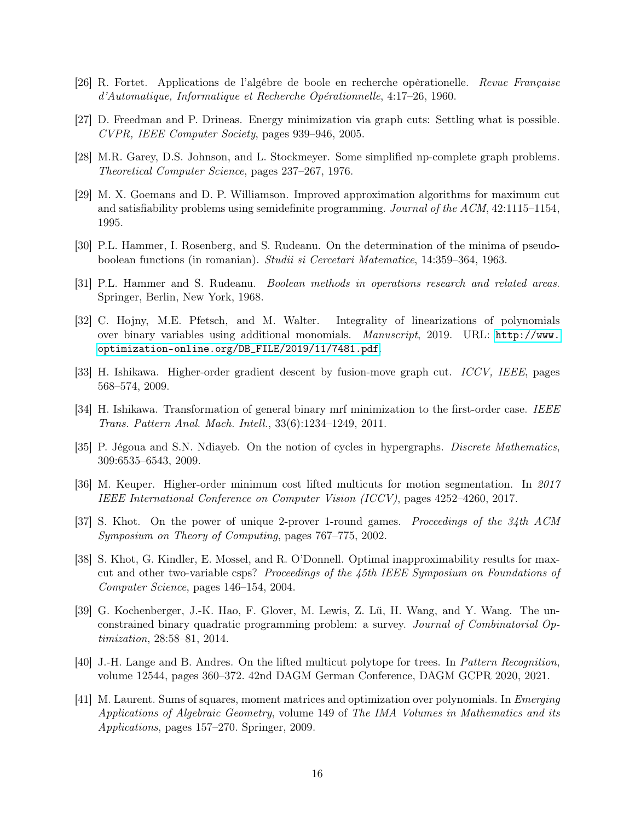- <span id="page-15-3"></span>[26] R. Fortet. Applications de l'algébre de boole en recherche opèrationelle. Revue Française d'Automatique, Informatique et Recherche Opérationnelle, 4:17–26, 1960.
- <span id="page-15-5"></span>[27] D. Freedman and P. Drineas. Energy minimization via graph cuts: Settling what is possible. CVPR, IEEE Computer Society, pages 939–946, 2005.
- <span id="page-15-12"></span>[28] M.R. Garey, D.S. Johnson, and L. Stockmeyer. Some simplified np-complete graph problems. Theoretical Computer Science, pages 237–267, 1976.
- <span id="page-15-15"></span>[29] M. X. Goemans and D. P. Williamson. Improved approximation algorithms for maximum cut and satisfiability problems using semidefinite programming. Journal of the ACM, 42:1115–1154, 1995.
- <span id="page-15-8"></span>[30] P.L. Hammer, I. Rosenberg, and S. Rudeanu. On the determination of the minima of pseudoboolean functions (in romanian). Studii si Cercetari Matematice, 14:359–364, 1963.
- <span id="page-15-9"></span>[31] P.L. Hammer and S. Rudeanu. Boolean methods in operations research and related areas. Springer, Berlin, New York, 1968.
- <span id="page-15-4"></span>[32] C. Hojny, M.E. Pfetsch, and M. Walter. Integrality of linearizations of polynomials over binary variables using additional monomials. Manuscript, 2019. URL: [http://www.](http://www.optimization-online.org/DB_FILE/2019/11/7481.pdf) [optimization-online.org/DB\\_FILE/2019/11/7481.pdf](http://www.optimization-online.org/DB_FILE/2019/11/7481.pdf).
- <span id="page-15-6"></span>[33] H. Ishikawa. Higher-order gradient descent by fusion-move graph cut. ICCV, IEEE, pages 568–574, 2009.
- <span id="page-15-7"></span>[34] H. Ishikawa. Transformation of general binary mrf minimization to the first-order case. IEEE Trans. Pattern Anal. Mach. Intell., 33(6):1234–1249, 2011.
- <span id="page-15-2"></span>[35] P. Jégoua and S.N. Ndiayeb. On the notion of cycles in hypergraphs. Discrete Mathematics, 309:6535–6543, 2009.
- <span id="page-15-11"></span>[36] M. Keuper. Higher-order minimum cost lifted multicuts for motion segmentation. In 2017 IEEE International Conference on Computer Vision (ICCV), pages 4252–4260, 2017.
- <span id="page-15-13"></span>[37] S. Khot. On the power of unique 2-prover 1-round games. Proceedings of the 34th ACM Symposium on Theory of Computing, pages 767–775, 2002.
- <span id="page-15-14"></span>[38] S. Khot, G. Kindler, E. Mossel, and R. O'Donnell. Optimal inapproximability results for maxcut and other two-variable csps? Proceedings of the 45th IEEE Symposium on Foundations of Computer Science, pages 146–154, 2004.
- <span id="page-15-0"></span>[39] G. Kochenberger, J.-K. Hao, F. Glover, M. Lewis, Z. Lü, H. Wang, and Y. Wang. The unconstrained binary quadratic programming problem: a survey. Journal of Combinatorial Optimization, 28:58–81, 2014.
- <span id="page-15-10"></span>[40] J.-H. Lange and B. Andres. On the lifted multicut polytope for trees. In Pattern Recognition, volume 12544, pages 360–372. 42nd DAGM German Conference, DAGM GCPR 2020, 2021.
- <span id="page-15-1"></span>[41] M. Laurent. Sums of squares, moment matrices and optimization over polynomials. In Emerging Applications of Algebraic Geometry, volume 149 of The IMA Volumes in Mathematics and its Applications, pages 157–270. Springer, 2009.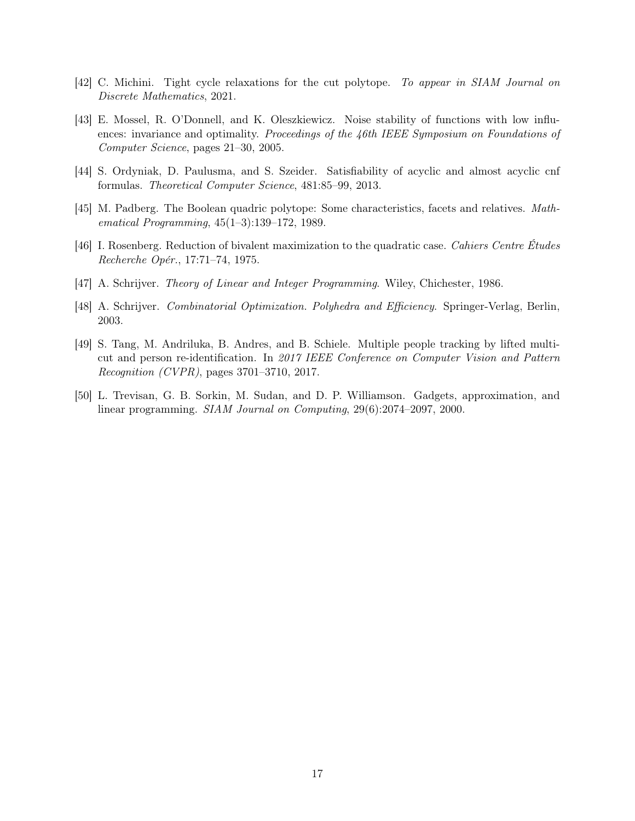- <span id="page-16-1"></span>[42] C. Michini. Tight cycle relaxations for the cut polytope. To appear in SIAM Journal on Discrete Mathematics, 2021.
- <span id="page-16-8"></span>[43] E. Mossel, R. O'Donnell, and K. Oleszkiewicz. Noise stability of functions with low influences: invariance and optimality. Proceedings of the 46th IEEE Symposium on Foundations of Computer Science, pages 21–30, 2005.
- <span id="page-16-4"></span>[44] S. Ordyniak, D. Paulusma, and S. Szeider. Satisfiability of acyclic and almost acyclic cnf formulas. Theoretical Computer Science, 481:85–99, 2013.
- <span id="page-16-0"></span>[45] M. Padberg. The Boolean quadric polytope: Some characteristics, facets and relatives. Mathematical Programming, 45(1–3):139–172, 1989.
- <span id="page-16-3"></span>[46] I. Rosenberg. Reduction of bivalent maximization to the quadratic case. Cahiers Centre Études Recherche Opér., 17:71–74, 1975.
- <span id="page-16-7"></span>[47] A. Schrijver. Theory of Linear and Integer Programming. Wiley, Chichester, 1986.
- <span id="page-16-2"></span>[48] A. Schrijver. Combinatorial Optimization. Polyhedra and Efficiency. Springer-Verlag, Berlin, 2003.
- <span id="page-16-5"></span>[49] S. Tang, M. Andriluka, B. Andres, and B. Schiele. Multiple people tracking by lifted multicut and person re-identification. In 2017 IEEE Conference on Computer Vision and Pattern Recognition (CVPR), pages 3701–3710, 2017.
- <span id="page-16-6"></span>[50] L. Trevisan, G. B. Sorkin, M. Sudan, and D. P. Williamson. Gadgets, approximation, and linear programming. SIAM Journal on Computing, 29(6):2074–2097, 2000.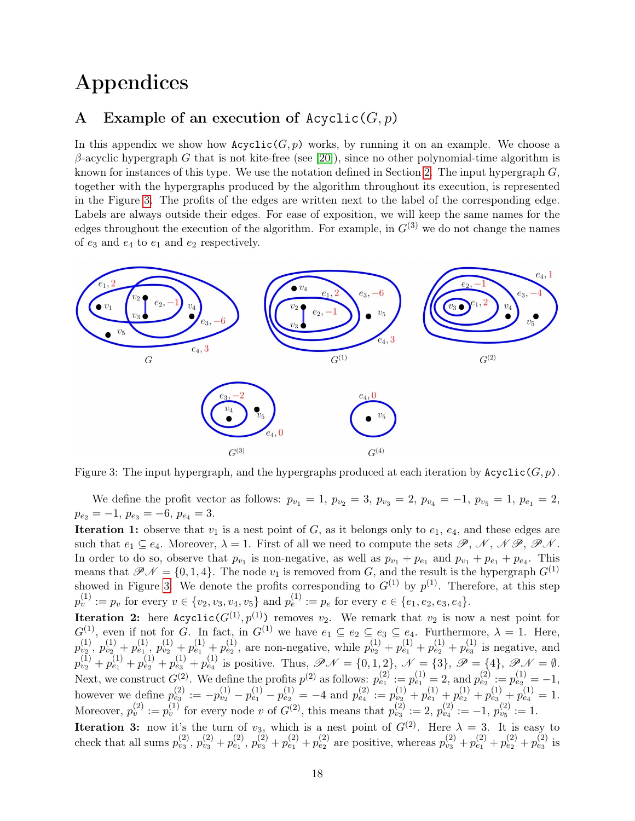# Appendices

## <span id="page-17-0"></span>A Example of an execution of  $Acyclic(G, p)$

In this appendix we show how  $Acyclic(G, p)$  works, by running it on an example. We choose a β-acyclic hypergraph G that is not kite-free (see [\[20\]](#page-14-4)), since no other polynomial-time algorithm is known for instances of this type. We use the notation defined in Section [2.](#page-4-0) The input hypergraph  $G$ , together with the hypergraphs produced by the algorithm throughout its execution, is represented in the Figure [3.](#page-17-1) The profits of the edges are written next to the label of the corresponding edge. Labels are always outside their edges. For ease of exposition, we will keep the same names for the edges throughout the execution of the algorithm. For example, in  $G^{(3)}$  we do not change the names of  $e_3$  and  $e_4$  to  $e_1$  and  $e_2$  respectively.

<span id="page-17-1"></span>

Figure 3: The input hypergraph, and the hypergraphs produced at each iteration by  $Acyclic(G, p)$ .

We define the profit vector as follows:  $p_{v_1} = 1$ ,  $p_{v_2} = 3$ ,  $p_{v_3} = 2$ ,  $p_{v_4} = -1$ ,  $p_{v_5} = 1$ ,  $p_{e_1} = 2$ ,  $p_{e_2} = -1, p_{e_3} = -6, p_{e_4} = 3.$ 

**Iteration 1:** observe that  $v_1$  is a nest point of G, as it belongs only to  $e_1$ ,  $e_4$ , and these edges are such that  $e_1 \subseteq e_4$ . Moreover,  $\lambda = 1$ . First of all we need to compute the sets  $\mathscr{P}, \mathscr{N}, \mathscr{N}\mathscr{P}, \mathscr{P}\mathscr{N}$ . In order to do so, observe that  $p_{v_1}$  is non-negative, as well as  $p_{v_1} + p_{e_1}$  and  $p_{v_1} + p_{e_1} + p_{e_4}$ . This means that  $\mathcal{P} \mathcal{N} = \{0, 1, 4\}$ . The node  $v_1$  is removed from G, and the result is the hypergraph  $G^{(1)}$ showed in Figure [3.](#page-17-1) We denote the profits corresponding to  $G^{(1)}$  by  $p^{(1)}$ . Therefore, at this step  $p_v^{(1)} := p_v$  for every  $v \in \{v_2, v_3, v_4, v_5\}$  and  $p_e^{(1)} := p_e$  for every  $e \in \{e_1, e_2, e_3, e_4\}.$ 

**Iteration 2:** here  $Acyclic(G^{(1)}, p^{(1)})$  removes  $v_2$ . We remark that  $v_2$  is now a nest point for  $G^{(1)}$ , even if not for G. In fact, in  $G^{(1)}$  we have  $e_1 \subseteq e_2 \subseteq e_3 \subseteq e_4$ . Furthermore,  $\lambda = 1$ . Here,  $p_{v_2}^{(1)}, p_{v_2}^{(1)} + p_{e_1}^{(1)}, p_{v_2}^{(1)} + p_{e_1}^{(1)} + p_{e_2}^{(1)}$ , are non-negative, while  $p_{v_2}^{(1)} + p_{e_1}^{(1)} + p_{e_2}^{(1)} + p_{e_3}^{(1)}$  is negative, and  $p_{v_2}^{(1)} + p_{e_1}^{(1)} + p_{e_2}^{(1)} + p_{e_3}^{(1)} + p_{e_4}^{(1)}$  is positive. Thus,  $\mathscr{P} \mathscr{N} = \{0, 1, 2\}$ ,  $\mathscr{N} = \{3\}$ ,  $\mathscr{P} = \{4\}$ ,  $\mathscr{P} \mathscr{N} = \emptyset$ . Next, we construct  $G^{(2)}$ . We define the profits  $p^{(2)}$  as follows:  $p_{e_1}^{(2)} := p_{e_1}^{(1)} = 2$ , and  $p_{e_2}^{(2)} := p_{e_2}^{(1)} = -1$ , however we define  $p_{e_3}^{(2)} := -p_{v_2}^{(1)} - p_{e_1}^{(1)} - p_{e_2}^{(1)} = -4$  and  $p_{e_4}^{(2)} := p_{v_2}^{(1)} + p_{e_1}^{(1)} + p_{e_2}^{(1)} + p_{e_3}^{(1)} + p_{e_4}^{(1)} = 1$ . Moreover,  $p_v^{(2)} := p_v^{(1)}$  for every node v of  $G^{(2)}$ , this means that  $p_{v_3}^{(2)} := 2$ ,  $p_{v_4}^{(2)} := -1$ ,  $p_{v_5}^{(2)} := 1$ .

**Iteration 3:** now it's the turn of  $v_3$ , which is a nest point of  $G^{(2)}$ . Here  $\lambda = 3$ . It is easy to check that all sums  $p_{v_3}^{(2)}$ ,  $p_{v_3}^{(2)} + p_{e_1}^{(2)}$ ,  $p_{v_3}^{(2)} + p_{e_1}^{(2)} + p_{e_2}^{(2)}$  are positive, whereas  $p_{v_3}^{(2)} + p_{e_1}^{(2)} + p_{e_2}^{(2)} + p_{e_3}^{(2)}$  is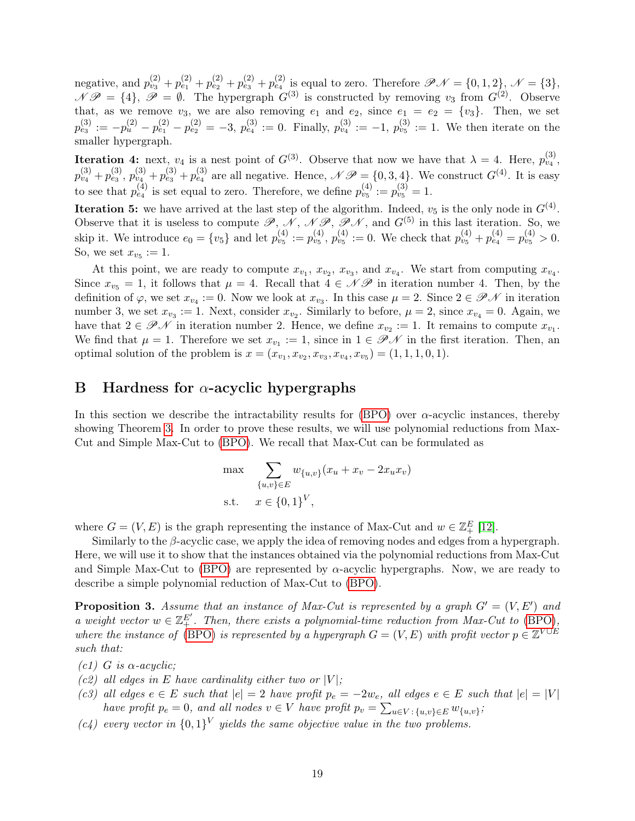negative, and  $p_{v_3}^{(2)} + p_{e_1}^{(2)} + p_{e_2}^{(2)} + p_{e_3}^{(2)} + p_{e_4}^{(2)}$  is equal to zero. Therefore  $\mathscr{P} \mathscr{N} = \{0, 1, 2\}$ ,  $\mathscr{N} = \{3\}$ ,  $\mathscr{N} \mathscr{P} = \{4\}, \ \mathscr{P} = \emptyset$ . The hypergraph  $G^{(3)}$  is constructed by removing  $v_3$  from  $G^{(2)}$ . Observe that, as we remove  $v_3$ , we are also removing  $e_1$  and  $e_2$ , since  $e_1 = e_2 = \{v_3\}$ . Then, we set  $p_{e_3}^{(3)} := -p_u^{(2)} - p_{e_1}^{(2)} - p_{e_2}^{(2)} = -3$ ,  $p_{e_4}^{(3)} := 0$ . Finally,  $p_{v_4}^{(3)} := -1$ ,  $p_{v_5}^{(3)} := 1$ . We then iterate on the smaller hypergraph.

**Iteration 4:** next,  $v_4$  is a nest point of  $G^{(3)}$ . Observe that now we have that  $\lambda = 4$ . Here,  $p_{v_4}^{(3)}$ ,  $p_{v_4}^{(3)} + p_{e_3}^{(3)}$ ,  $p_{v_4}^{(3)} + p_{e_3}^{(3)} + p_{e_4}^{(3)}$  are all negative. Hence,  $\mathscr{N} \mathscr{P} = \{0, 3, 4\}$ . We construct  $G^{(4)}$ . It is easy to see that  $p_{e_4}^{(4)}$  is set equal to zero. Therefore, we define  $p_{v_5}^{(4)} := p_{v_5}^{(3)} = 1$ .

**Iteration 5:** we have arrived at the last step of the algorithm. Indeed,  $v_5$  is the only node in  $G<sup>(4)</sup>$ . Observe that it is useless to compute  $\mathscr{P}, \mathscr{N}, \mathscr{NP}, \mathscr{P}\mathscr{N},$  and  $G^{(5)}$  in this last iteration. So, we skip it. We introduce  $e_0 = \{v_5\}$  and let  $p_{v_5}^{(4)} := p_{v_5}^{(4)}$ ,  $p_{v_5}^{(4)} := 0$ . We check that  $p_{v_5}^{(4)} + p_{e_4}^{(4)} = p_{v_5}^{(4)} > 0$ . So, we set  $x_{v_5} := 1$ .

At this point, we are ready to compute  $x_{v_1}$ ,  $x_{v_2}$ ,  $x_{v_3}$ , and  $x_{v_4}$ . We start from computing  $x_{v_4}$ . Since  $x_{v_5} = 1$ , it follows that  $\mu = 4$ . Recall that  $\tilde{4} \in \mathcal{N} \mathcal{P}$  in iteration number 4. Then, by the definition of  $\varphi$ , we set  $x_{v_4} := 0$ . Now we look at  $x_{v_3}$ . In this case  $\mu = 2$ . Since  $2 \in \mathscr{P} \mathscr{N}$  in iteration number 3, we set  $x_{v_3} := 1$ . Next, consider  $x_{v_2}$ . Similarly to before,  $\mu = 2$ , since  $x_{v_4} = 0$ . Again, we have that  $2 \in \mathscr{P} \mathscr{N}$  in iteration number 2. Hence, we define  $x_{v_2} := 1$ . It remains to compute  $x_{v_1}$ . We find that  $\mu = 1$ . Therefore we set  $x_{v_1} := 1$ , since in  $1 \in \mathscr{P} \mathscr{N}$  in the first iteration. Then, an optimal solution of the problem is  $x = (x_{v_1}, x_{v_2}, x_{v_3}, x_{v_4}, x_{v_5}) = (1, 1, 1, 0, 1).$ 

## <span id="page-18-0"></span>B Hardness for  $\alpha$ -acyclic hypergraphs

In this section we describe the intractability results for [\(BPO\)](#page-1-0) over  $\alpha$ -acyclic instances, thereby showing Theorem [3.](#page-4-1) In order to prove these results, we will use polynomial reductions from Max-Cut and Simple Max-Cut to [\(BPO\)](#page-1-0). We recall that Max-Cut can be formulated as

$$
\max \sum_{\{u,v\} \in E} w_{\{u,v\}}(x_u + x_v - 2x_u x_v)
$$
  
s.t.  $x \in \{0,1\}^V$ ,

where  $G = (V, E)$  is the graph representing the instance of Max-Cut and  $w \in \mathbb{Z}_+^E$  [\[12\]](#page-14-5).

Similarly to the  $\beta$ -acyclic case, we apply the idea of removing nodes and edges from a hypergraph. Here, we will use it to show that the instances obtained via the polynomial reductions from Max-Cut and Simple Max-Cut to [\(BPO\)](#page-1-0) are represented by  $\alpha$ -acyclic hypergraphs. Now, we are ready to describe a simple polynomial reduction of Max-Cut to [\(BPO\)](#page-1-0).

<span id="page-18-5"></span>**Proposition 3.** Assume that an instance of Max-Cut is represented by a graph  $G' = (V, E')$  and a weight vector  $w \in \mathbb{Z}_+^{E'}$ . Then, there exists a polynomial-time reduction from Max-Cut to [\(BPO\)](#page-1-0), where the instance of [\(BPO\)](#page-1-0) is represented by a hypergraph  $G = (V, E)$  with profit vector  $p \in \mathbb{Z}^{V \cup E}$ such that:

- <span id="page-18-4"></span>(c1) G is  $\alpha$ -acyclic;
- <span id="page-18-1"></span>(c2) all edges in E have cardinality either two or  $|V|$ ;
- <span id="page-18-2"></span>(c3) all edges  $e \in E$  such that  $|e| = 2$  have profit  $p_e = -2w_e$ , all edges  $e \in E$  such that  $|e| = |V|$ have profit  $p_e = 0$ , and all nodes  $v \in V$  have profit  $p_v = \sum_{u \in V} \sum_{\{u,v\} \in E} w_{\{u,v\}}$ ;
- <span id="page-18-3"></span> $(c_4)$  every vector in  $\{0,1\}^V$  yields the same objective value in the two problems.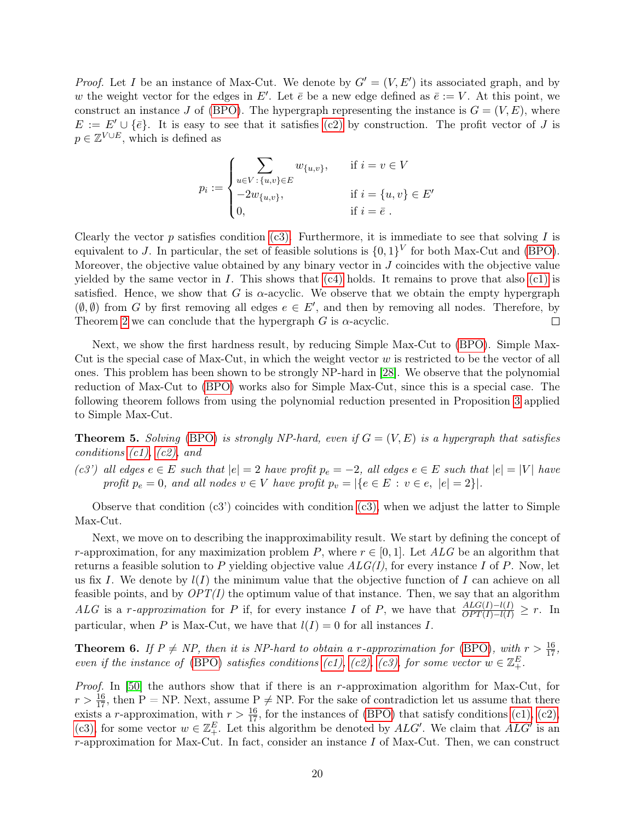*Proof.* Let I be an instance of Max-Cut. We denote by  $G' = (V, E')$  its associated graph, and by w the weight vector for the edges in E'. Let  $\bar{e}$  be a new edge defined as  $\bar{e} := V$ . At this point, we construct an instance J of [\(BPO\)](#page-1-0). The hypergraph representing the instance is  $G = (V, E)$ , where  $E := E' \cup \{\bar{e}\}.$  It is easy to see that it satisfies [\(c2\)](#page-18-1) by construction. The profit vector of J is  $p \in \mathbb{Z}^{V \cup E}$ , which is defined as

$$
p_i := \begin{cases} \sum_{u \in V : \{u, v\} \in E} w_{\{u, v\}}, & \text{if } i = v \in V \\ -2w_{\{u, v\}}, & \text{if } i = \{u, v\} \in E' \\ 0, & \text{if } i = \bar{e} \end{cases}
$$

Clearly the vector  $p$  satisfies condition [\(c3\).](#page-18-2) Furthermore, it is immediate to see that solving  $I$  is equivalent to J. In particular, the set of feasible solutions is  $\{0,1\}^V$  for both Max-Cut and [\(BPO\)](#page-1-0). Moreover, the objective value obtained by any binary vector in  $J$  coincides with the objective value yielded by the same vector in I. This shows that  $(c4)$  holds. It remains to prove that also  $(c1)$  is satisfied. Hence, we show that G is  $\alpha$ -acyclic. We observe that we obtain the empty hypergraph  $(\emptyset, \emptyset)$  from G by first removing all edges  $e \in E'$ , and then by removing all nodes. Therefore, by Theorem [2](#page-3-1) we can conclude that the hypergraph  $G$  is  $\alpha$ -acyclic.  $\Box$ 

Next, we show the first hardness result, by reducing Simple Max-Cut to [\(BPO\)](#page-1-0). Simple Max-Cut is the special case of Max-Cut, in which the weight vector  $w$  is restricted to be the vector of all ones. This problem has been shown to be strongly NP-hard in [\[28\]](#page-15-12). We observe that the polynomial reduction of Max-Cut to [\(BPO\)](#page-1-0) works also for Simple Max-Cut, since this is a special case. The following theorem follows from using the polynomial reduction presented in Proposition [3](#page-18-5) applied to Simple Max-Cut.

**Theorem 5.** Solving [\(BPO\)](#page-1-0) is strongly NP-hard, even if  $G = (V, E)$  is a hypergraph that satisfies conditions  $(c1)$ ,  $(c2)$ , and

(c3') all edges  $e \in E$  such that  $|e| = 2$  have profit  $p_e = -2$ , all edges  $e \in E$  such that  $|e| = |V|$  have profit  $p_e = 0$ , and all nodes  $v \in V$  have profit  $p_v = |\{e \in E : v \in e, |e| = 2\}|$ .

Observe that condition  $(c3)$  coincides with condition  $(c3)$ , when we adjust the latter to Simple Max-Cut.

Next, we move on to describing the inapproximability result. We start by defining the concept of r-approximation, for any maximization problem P, where  $r \in [0,1]$ . Let ALG be an algorithm that returns a feasible solution to P yielding objective value  $ALG(I)$ , for every instance I of P. Now, let us fix I. We denote by  $l(I)$  the minimum value that the objective function of I can achieve on all feasible points, and by  $OPT(I)$  the optimum value of that instance. Then, we say that an algorithm ALG is a r-approximation for P if, for every instance I of P, we have that  $\frac{ALG(I)-l(I)}{OPT(I)-l(I)} \geq r$ . In particular, when P is Max-Cut, we have that  $l(I) = 0$  for all instances I.

**Theorem 6.** If  $P \neq NP$ , then it is NP-hard to obtain a r-approximation for [\(BPO\)](#page-1-0), with  $r > \frac{16}{17}$ , even if the instance of [\(BPO\)](#page-1-0) satisfies conditions [\(c1\),](#page-18-4) [\(c2\),](#page-18-1) [\(c3\),](#page-18-2) for some vector  $w \in \mathbb{Z}_{+}^E$ .

Proof. In [\[50\]](#page-16-6) the authors show that if there is an r-approximation algorithm for Max-Cut, for  $r > \frac{16}{17}$ , then P = NP. Next, assume  $P \neq NP$ . For the sake of contradiction let us assume that there exists a r-approximation, with  $r > \frac{16}{17}$ , for the instances of [\(BPO\)](#page-1-0) that satisfy conditions [\(c1\),](#page-18-4) [\(c2\),](#page-18-1) [\(c3\),](#page-18-2) for some vector  $w \in \mathbb{Z}_+^E$ . Let this algorithm be denoted by  $ALG'$ . We claim that  $ALG'$  is an  $r$ -approximation for Max-Cut. In fact, consider an instance  $I$  of Max-Cut. Then, we can construct